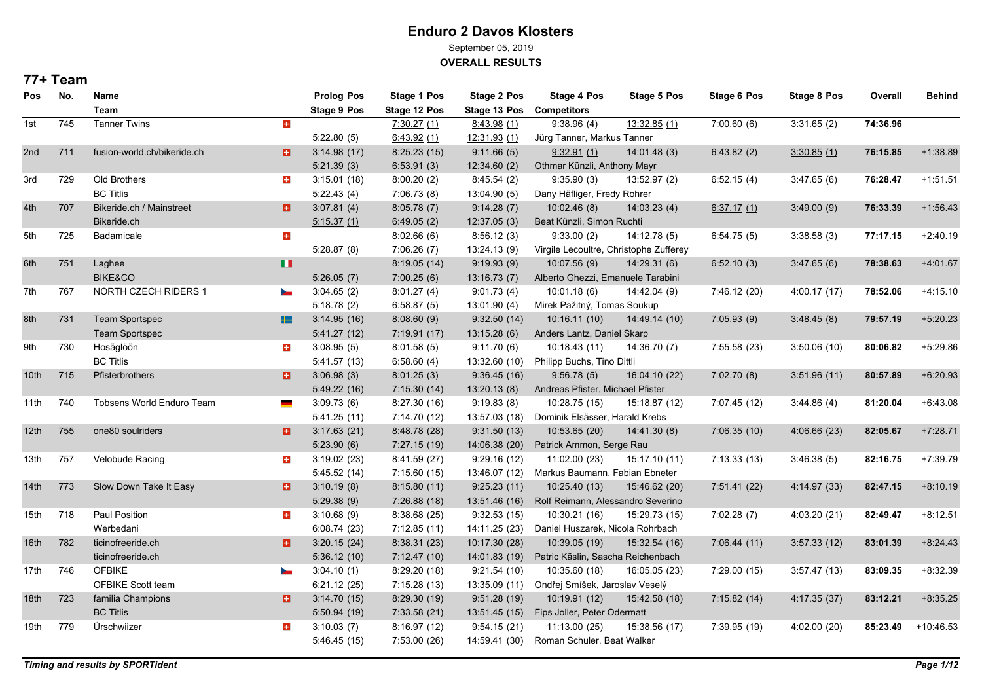September 05, 2019

**OVERALL RESULTS**

| <b>Pos</b>       | No. | Name<br>Team                |                          | <b>Prolog Pos</b><br><b>Stage 9 Pos</b> | Stage 1 Pos<br>Stage 12 Pos | Stage 2 Pos<br>Stage 13 Pos | Stage 4 Pos<br><b>Competitors</b>      | <b>Stage 5 Pos</b> | <b>Stage 6 Pos</b> | <b>Stage 8 Pos</b> | Overall  | <b>Behind</b> |
|------------------|-----|-----------------------------|--------------------------|-----------------------------------------|-----------------------------|-----------------------------|----------------------------------------|--------------------|--------------------|--------------------|----------|---------------|
| 1st              | 745 | <b>Tanner Twins</b>         | $+$                      |                                         | 7:30.27(1)                  | 8:43.98(1)                  | 9:38.96(4)                             | 13:32.85(1)        | 7:00.60(6)         | 3:31.65(2)         | 74:36.96 |               |
|                  |     |                             |                          | 5:22.80(5)                              | 6.43.92(1)                  | 12:31.93 (1)                | Jürg Tanner, Markus Tanner             |                    |                    |                    |          |               |
| 2nd              | 711 | fusion-world.ch/bikeride.ch | a                        | 3:14.98(17)                             | 8:25.23(15)                 | 9:11.66(5)                  | 9.32.91(1)                             | 14:01.48(3)        | 6:43.82(2)         | 3:30.85(1)         | 76:15.85 | $+1:38.89$    |
|                  |     |                             |                          | 5:21.39(3)                              | 6.53.91(3)                  | 12:34.60(2)                 | Othmar Künzli, Anthony Mayr            |                    |                    |                    |          |               |
| 3rd              | 729 | Old Brothers                | $\pm$                    | 3:15.01(18)                             | 8:00.20(2)                  | 8:45.54(2)                  | 9:35.90(3)                             | 13:52.97 (2)       | 6:52.15(4)         | 3:47.65(6)         | 76:28.47 | $+1:51.51$    |
|                  |     | <b>BC Titlis</b>            |                          | 5:22.43(4)                              | 7:06.73(8)                  | 13:04.90 (5)                | Dany Häfliger, Fredy Rohrer            |                    |                    |                    |          |               |
| 4th              | 707 | Bikeride.ch / Mainstreet    | a                        | 3:07.81(4)                              | 8.05.78(7)                  | 9:14.28(7)                  | 10:02.46(8)                            | 14:03.23(4)        | 6.37.17(1)         | 3.49.00(9)         | 76:33.39 | $+1:56.43$    |
|                  |     | Bikeride.ch                 |                          | 5:15.37(1)                              | 6.49.05(2)                  | 12:37.05(3)                 | Beat Künzli, Simon Ruchti              |                    |                    |                    |          |               |
| 5th              | 725 | Badamicale                  | $\pm$                    |                                         | 8:02.66(6)                  | 8:56.12(3)                  | 9:33.00(2)                             | 14:12.78(5)        | 6:54.75(5)         | 3:38.58(3)         | 77:17.15 | $+2:40.19$    |
|                  |     |                             |                          | 5:28.87(8)                              | 7:06.26(7)                  | 13:24.13 (9)                | Virgile Lecoultre, Christophe Zufferey |                    |                    |                    |          |               |
| 6th              | 751 | Laghee                      | ш                        |                                         | 8:19.05(14)                 | 9:19.93(9)                  | 10:07.56(9)                            | 14:29.31(6)        | 6:52.10(3)         | 3.47.65(6)         | 78:38.63 | $+4:01.67$    |
|                  |     | <b>BIKE&amp;CO</b>          |                          | 5:26.05(7)                              | 7:00.25(6)                  | 13:16.73(7)                 | Alberto Ghezzi, Emanuele Tarabini      |                    |                    |                    |          |               |
| 7th              | 767 | NORTH CZECH RIDERS 1        | $\overline{\phantom{a}}$ | 3:04.65(2)                              | 8.01.27(4)                  | 9:01.73(4)                  | 10:01.18(6)                            | 14:42.04 (9)       | 7:46.12 (20)       | 4:00.17 (17)       | 78:52.06 | $+4:15.10$    |
|                  |     |                             |                          | 5:18.78(2)                              | 6:58.87(5)                  | 13:01.90(4)                 | Mirek Pažitný, Tomas Soukup            |                    |                    |                    |          |               |
| 8th              | 731 | <b>Team Sportspec</b>       | H                        | 3:14.95(16)                             | 8.08.60(9)                  | 9:32.50(14)                 | 10:16.11(10)                           | 14:49.14 (10)      | 7:05.93(9)         | 3.48.45(8)         | 79:57.19 | $+5:20.23$    |
|                  |     | Team Sportspec              |                          | 5:41.27(12)                             | 7:19.91(17)                 | 13:15.28(6)                 | Anders Lantz, Daniel Skarp             |                    |                    |                    |          |               |
| 9th              | 730 | Hosäglöön                   | $\pm$                    | 3:08.95(5)                              | 8:01.58(5)                  | 9:11.70(6)                  | 10:18.43(11)                           | 14:36.70 (7)       | 7:55.58(23)        | 3:50.06(10)        | 80:06.82 | $+5:29.86$    |
|                  |     | <b>BC Titlis</b>            |                          | 5:41.57(13)                             | 6:58.60(4)                  | 13:32.60 (10)               | Philipp Buchs, Tino Dittli             |                    |                    |                    |          |               |
| 10 <sup>th</sup> | 715 | Pfisterbrothers             | o                        | 3.06.98(3)                              | 8.01.25(3)                  | 9:36.45(16)                 | 9.56.78(5)                             | 16:04.10 (22)      | 7:02.70(8)         | 3.51.96(11)        | 80:57.89 | $+6:20.93$    |
|                  |     |                             |                          | 5.49.22(16)                             | 7:15.30(14)                 | 13.20.13(8)                 | Andreas Pfister, Michael Pfister       |                    |                    |                    |          |               |
| 11th             | 740 | Tobsens World Enduro Team   |                          | 3:09.73(6)                              | 8:27.30 (16)                | 9:19.83(8)                  | 10:28.75 (15)                          | 15:18.87 (12)      | 7:07.45 (12)       | 3.44.86(4)         | 81:20.04 | $+6.43.08$    |
|                  |     |                             |                          | 5:41.25(11)                             | 7:14.70 (12)                | 13:57.03 (18)               | Dominik Elsässer, Harald Krebs         |                    |                    |                    |          |               |
| 12th             | 755 | one80 soulriders            | a                        | 3:17.63(21)                             | 8:48.78 (28)                | 9:31.50(13)                 | 10:53.65 (20)                          | 14:41.30 (8)       | 7:06.35(10)        | 4:06.66(23)        | 82:05.67 | $+7:28.71$    |
|                  |     |                             |                          | 5:23.90(6)                              | 7:27.15(19)                 | 14:06.38 (20)               | Patrick Ammon, Serge Rau               |                    |                    |                    |          |               |
| 13th             | 757 | Velobude Racing             | $\pm$                    | 3:19.02(23)                             | 8:41.59 (27)                | 9:29.16(12)                 | 11:02.00 (23)                          | 15:17.10 (11)      | 7:13.33(13)        | 3.46.38(5)         | 82:16.75 | $+7:39.79$    |
|                  |     |                             |                          | 5.45.52(14)                             | 7:15.60 (15)                | 13:46.07 (12)               | Markus Baumann, Fabian Ebneter         |                    |                    |                    |          |               |
| 14 <sup>th</sup> | 773 | Slow Down Take It Easy      | o                        | 3:10.19(8)                              | 8:15.80(11)                 | 9:25.23(11)                 | 10:25.40 (13)                          | 15:46.62 (20)      | 7:51.41(22)        | 4:14.97 (33)       | 82:47.15 | $+8:10.19$    |
|                  |     |                             |                          | 5:29.38(9)                              | 7:26.88(18)                 | 13:51.46 (16)               | Rolf Reimann, Alessandro Severino      |                    |                    |                    |          |               |
| 15th             | 718 | Paul Position               | $\pm$                    | 3:10.68(9)                              | 8:38.68(25)                 | 9:32.53(15)                 | 10:30.21 (16)                          | 15:29.73 (15)      | 7:02.28(7)         | 4:03.20 (21)       | 82:49.47 | $+8:12.51$    |
|                  |     | Werbedani                   |                          | 6.08.74(23)                             | 7:12.85(11)                 | 14:11.25 (23)               | Daniel Huszarek, Nicola Rohrbach       |                    |                    |                    |          |               |
| 16th             | 782 | ticinofreeride.ch           | o.                       | 3:20.15(24)                             | 8:38.31(23)                 | 10:17.30 (28)               | 10:39.05 (19)                          | 15:32.54 (16)      | 7:06.44(11)        | 3:57.33(12)        | 83:01.39 | $+8:24.43$    |
|                  |     | ticinofreeride.ch           |                          | 5:36.12(10)                             | 7:12.47(10)                 | 14:01.83 (19)               | Patric Käslin, Sascha Reichenbach      |                    |                    |                    |          |               |
| 17th             | 746 | <b>OFBIKE</b>               |                          | 3:04.10(1)                              | 8:29.20(18)                 | 9:21.54(10)                 | 10:35.60 (18)                          | 16:05.05 (23)      | 7:29.00(15)        | 3.57.47(13)        | 83:09.35 | $+8:32.39$    |
|                  |     | OFBIKE Scott team           |                          | 6:21.12(25)                             | 7:15.28 (13)                | 13:35.09 (11)               | Ondřej Smíšek, Jaroslav Veselý         |                    |                    |                    |          |               |
| 18 <sub>th</sub> | 723 | familia Champions           | o                        | 3:14.70(15)                             | 8.29.30(19)                 | 9:51.28(19)                 | 10:19.91 (12)                          | 15:42.58 (18)      | 7:15.82(14)        | 4:17.35 (37)       | 83:12.21 | $+8:35.25$    |
|                  |     | <b>BC Titlis</b>            |                          | 5:50.94(19)                             | 7:33.58(21)                 | 13:51.45 (15)               | Fips Joller, Peter Odermatt            |                    |                    |                    |          |               |
| 19th             | 779 | Ürschwiizer                 | $\pm$                    | 3:10.03(7)                              | 8:16.97(12)                 | 9:54.15(21)                 | 11:13.00 (25)                          | 15:38.56 (17)      | 7:39.95 (19)       | 4:02.00 (20)       | 85:23.49 | $+10:46.53$   |
|                  |     |                             |                          | 5:46.45(15)                             | 7:53.00 (26)                | 14:59.41 (30)               | Roman Schuler, Beat Walker             |                    |                    |                    |          |               |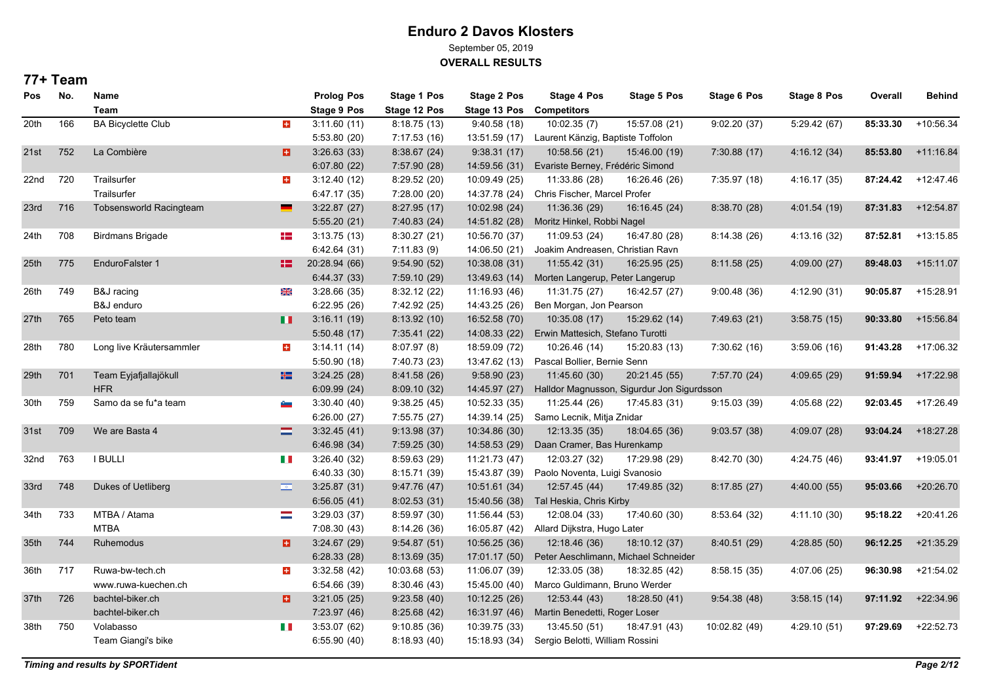September 05, 2019

**OVERALL RESULTS**

| <b>Pos</b>       | No. | Name                           |                          | <b>Prolog Pos</b>  | Stage 1 Pos   | Stage 2 Pos   | Stage 4 Pos                       | Stage 5 Pos                                | <b>Stage 6 Pos</b> | <b>Stage 8 Pos</b> | Overall  | <b>Behind</b> |
|------------------|-----|--------------------------------|--------------------------|--------------------|---------------|---------------|-----------------------------------|--------------------------------------------|--------------------|--------------------|----------|---------------|
|                  |     | <b>Team</b>                    |                          | <b>Stage 9 Pos</b> | Stage 12 Pos  | Stage 13 Pos  | <b>Competitors</b>                |                                            |                    |                    |          |               |
| 20th             | 166 | <b>BA Bicyclette Club</b>      | $\pm$                    | 3:11.60(11)        | 8:18.75(13)   | 9:40.58(18)   | 10:02.35(7)                       | 15:57.08 (21)                              | 9:02.20(37)        | 5:29.42 (67)       | 85:33.30 | +10:56.34     |
|                  |     |                                |                          | 5:53.80(20)        | 7:17.53(16)   | 13:51.59 (17) | Laurent Känzig, Baptiste Toffolon |                                            |                    |                    |          |               |
| 21st             | 752 | La Combière                    | a                        | 3:26.63(33)        | 8:38.67(24)   | 9:38.31(17)   | 10:58.56 (21)                     | 15:46.00 (19)                              | 7:30.88(17)        | 4:16.12(34)        | 85:53.80 | $+11.16.84$   |
|                  |     |                                |                          | 6:07.80(22)        | 7:57.90 (28)  | 14:59.56 (31) | Evariste Berney, Frédéric Simond  |                                            |                    |                    |          |               |
| 22nd             | 720 | Trailsurfer                    | $\pm$                    | 3:12.40(12)        | 8:29.52(20)   | 10:09.49 (25) | 11:33.86 (28)                     | 16:26.46 (26)                              | 7:35.97 (18)       | 4:16.17(35)        | 87:24.42 | +12:47.46     |
|                  |     | Trailsurfer                    |                          | 6:47.17(35)        | 7:28.00 (20)  | 14:37.78 (24) | Chris Fischer, Marcel Profer      |                                            |                    |                    |          |               |
| 23rd             | 716 | <b>Tobsensworld Racingteam</b> |                          | 3:22.87(27)        | 8:27.95(17)   | 10:02.98 (24) | 11:36.36 (29)                     | 16:16.45 (24)                              | 8:38.70(28)        | 4:01.54 (19)       | 87:31.83 | $+12:54.87$   |
|                  |     |                                |                          | 5:55.20(21)        | 7:40.83 (24)  | 14:51.82 (28) | Moritz Hinkel, Robbi Nagel        |                                            |                    |                    |          |               |
| 24th             | 708 | <b>Birdmans Brigade</b>        | H                        | 3:13.75(13)        | 8:30.27 (21)  | 10:56.70 (37) | 11:09.53 (24)                     | 16:47.80 (28)                              | 8:14.38(26)        | 4:13.16 (32)       | 87:52.81 | $+13:15.85$   |
|                  |     |                                |                          | 6.42.64(31)        | 7:11.83(9)    | 14:06.50 (21) | Joakim Andreasen, Christian Ravn  |                                            |                    |                    |          |               |
| 25 <sub>th</sub> | 775 | EnduroFalster 1                | 82.                      | 20:28.94 (66)      | 9.54.90(52)   | 10:38.08 (31) | 11:55.42 (31)                     | 16:25.95 (25)                              | 8:11.58(25)        | 4:09.00(27)        | 89:48.03 | $+15:11.07$   |
|                  |     |                                |                          | 6:44.37(33)        | 7:59.10 (29)  | 13:49.63 (14) | Morten Langerup, Peter Langerup   |                                            |                    |                    |          |               |
| 26th             | 749 | B&J racing                     | ₩                        | 3:28.66(35)        | 8:32.12 (22)  | 11:16.93 (46) | 11:31.75 (27)                     | 16:42.57 (27)                              | 9.00.48(36)        | 4:12.90 (31)       | 90:05.87 | $+15:28.91$   |
|                  |     | B&J enduro                     |                          | 6:22.95(26)        | 7:42.92 (25)  | 14:43.25 (26) | Ben Morgan, Jon Pearson           |                                            |                    |                    |          |               |
| 27th             | 765 | Peto team                      | п                        | 3:16.11(19)        | 8:13.92 (10)  | 16:52.58 (70) | 10:35.08 (17)                     | 15:29.62 (14)                              | 7:49.63(21)        | 3:58.75(15)        | 90:33.80 | +15:56.84     |
|                  |     |                                |                          | 5:50.48(17)        | 7:35.41 (22)  | 14:08.33 (22) | Erwin Mattesich, Stefano Turotti  |                                            |                    |                    |          |               |
| 28th             | 780 | Long live Kräutersammler       | $\pm$                    | 3:14.11(14)        | 8:07.97(8)    | 18:59.09 (72) | 10:26.46 (14)                     | 15:20.83 (13)                              | 7:30.62 (16)       | 3:59.06(16)        | 91:43.28 | +17:06.32     |
|                  |     |                                |                          | 5:50.90 (18)       | 7:40.73 (23)  | 13:47.62 (13) | Pascal Bollier, Bernie Senn       |                                            |                    |                    |          |               |
| 29th             | 701 | Team Eyjafjallajökull          | ۲۲                       | 3:24.25(28)        | 8:41.58 (26)  | 9:58.90(23)   | 11:45.60 (30)                     | 20:21.45 (55)                              | 7:57.70 (24)       | 4:09.65 (29)       | 91:59.94 | +17:22.98     |
|                  |     | <b>HFR</b>                     |                          | 6:09.99(24)        | 8:09.10(32)   | 14:45.97 (27) |                                   | Halldor Magnusson, Sigurdur Jon Sigurdsson |                    |                    |          |               |
| 30th             | 759 | Samo da se fu*a team           | e <sub>m</sub>           | 3:30.40(40)        | 9:38.25(45)   | 10:52.33 (35) | 11:25.44 (26)                     | 17:45.83 (31)                              | 9:15.03(39)        | 4:05.68 (22)       | 92:03.45 | $+17:26.49$   |
|                  |     |                                |                          | 6:26.00(27)        | 7:55.75 (27)  | 14:39.14 (25) | Samo Lecnik, Mitja Znidar         |                                            |                    |                    |          |               |
| 31st             | 709 | We are Basta 4                 | $\equiv$                 | 3:32.45(41)        | 9:13.98(37)   | 10:34.86 (30) | 12:13.35 (35)                     | 18:04.65 (36)                              | 9:03.57(38)        | 4:09.07 (28)       | 93:04.24 | $+18:27.28$   |
|                  |     |                                |                          | 6.46.98 (34)       | 7:59.25 (30)  | 14:58.53 (29) | Daan Cramer, Bas Hurenkamp        |                                            |                    |                    |          |               |
| 32nd             | 763 | <b>I BULLI</b>                 | H                        | 3:26.40(32)        | 8:59.63 (29)  | 11:21.73 (47) | 12:03.27 (32)                     | 17:29.98 (29)                              | 8:42.70 (30)       | 4:24.75 (46)       | 93:41.97 | +19:05.01     |
|                  |     |                                |                          | 6:40.33(30)        | 8:15.71 (39)  | 15:43.87 (39) | Paolo Noventa, Luigi Svanosio     |                                            |                    |                    |          |               |
| 33rd             | 748 | Dukes of Uetliberg             | $\overline{\phantom{a}}$ | 3:25.87(31)        | 9.47.76(47)   | 10:51.61 (34) | 12:57.45 (44)                     | 17:49.85 (32)                              | 8:17.85(27)        | 4:40.00 (55)       | 95:03.66 | $+20:26.70$   |
|                  |     |                                |                          | 6:56.05(41)        | 8:02.53(31)   | 15:40.56 (38) | Tal Heskia, Chris Kirby           |                                            |                    |                    |          |               |
| 34th             | 733 | MTBA / Atama                   | $\sim$                   | 3:29.03(37)        | 8:59.97 (30)  | 11:56.44 (53) | 12:08.04 (33)                     | 17:40.60 (30)                              | 8:53.64 (32)       | 4:11.10 (30)       | 95:18.22 | $+20:41.26$   |
|                  |     | <b>MTBA</b>                    |                          | 7:08.30(43)        | 8:14.26(36)   | 16:05.87 (42) | Allard Dijkstra, Hugo Later       |                                            |                    |                    |          |               |
| 35th             | 744 | Ruhemodus                      | в                        | 3:24.67(29)        | 9:54.87(51)   | 10:56.25 (36) | 12:18.46 (36)                     | 18:10.12 (37)                              | 8:40.51(29)        | 4:28.85 (50)       | 96:12.25 | $+21:35.29$   |
|                  |     |                                |                          | 6:28.33(28)        | 8.13.69(35)   | 17:01.17 (50) |                                   | Peter Aeschlimann, Michael Schneider       |                    |                    |          |               |
| 36th             | 717 | Ruwa-bw-tech.ch                | ÷                        | 3:32.58(42)        | 10:03.68 (53) | 11:06.07 (39) | 12:33.05 (38)                     | 18:32.85 (42)                              | 8:58.15(35)        | 4:07.06 (25)       | 96:30.98 | $+21:54.02$   |
|                  |     | www.ruwa-kuechen.ch            |                          | 6:54.66(39)        | 8:30.46 (43)  | 15:45.00 (40) | Marco Guldimann, Bruno Werder     |                                            |                    |                    |          |               |
| 37th             | 726 | bachtel-biker.ch               | o                        | 3:21.05(25)        | 9:23.58(40)   | 10:12.25(26)  | 12:53.44 (43)                     | 18:28.50 (41)                              | 9:54.38(48)        | 3:58.15(14)        | 97:11.92 | $+22:34.96$   |
|                  |     | bachtel-biker.ch               |                          | 7:23.97(46)        | 8:25.68(42)   | 16:31.97 (46) | Martin Benedetti, Roger Loser     |                                            |                    |                    |          |               |
| 38th             | 750 | Volabasso                      | H                        | 3:53.07(62)        | 9:10.85(36)   | 10:39.75 (33) | 13:45.50 (51)                     | 18:47.91 (43)                              | 10:02.82 (49)      | 4:29.10 (51)       | 97:29.69 | $+22:52.73$   |
|                  |     | Team Giangi's bike             |                          | 6:55.90(40)        | 8:18.93 (40)  | 15:18.93 (34) | Sergio Belotti, William Rossini   |                                            |                    |                    |          |               |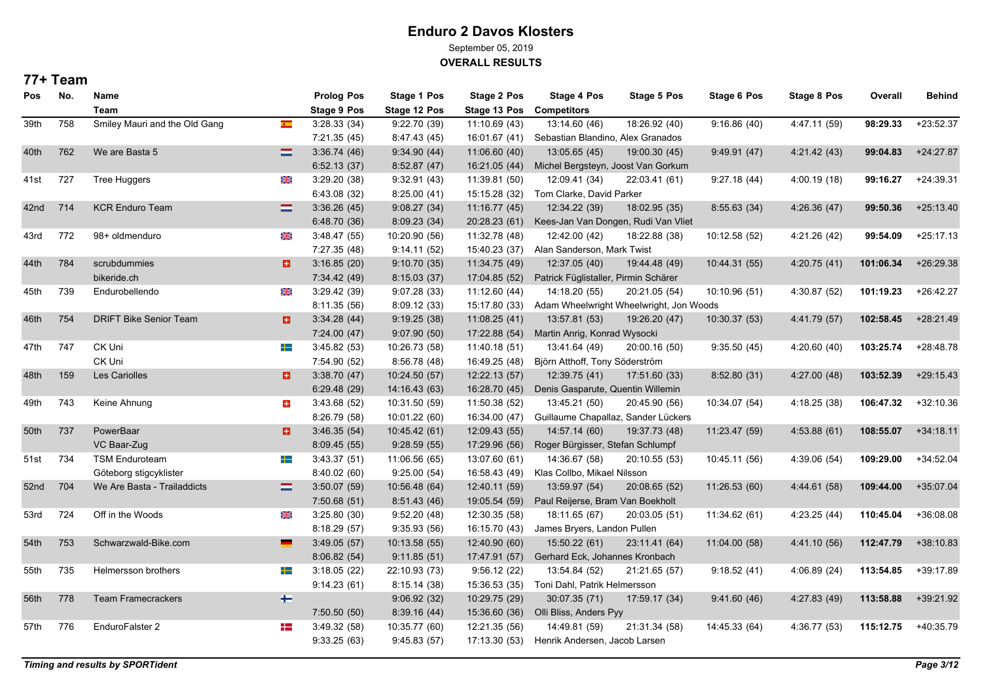September 05, 2019

**OVERALL RESULTS**

| Pos  | No. | Name<br><b>Team</b>           |                            | <b>Prolog Pos</b><br>Stage 9 Pos | <b>Stage 1 Pos</b><br>Stage 12 Pos | <b>Stage 2 Pos</b><br>Stage 13 Pos | <b>Stage 4 Pos</b><br><b>Competitors</b> | Stage 5 Pos                             | <b>Stage 6 Pos</b> | Stage 8 Pos  | Overall   | <b>Behind</b> |
|------|-----|-------------------------------|----------------------------|----------------------------------|------------------------------------|------------------------------------|------------------------------------------|-----------------------------------------|--------------------|--------------|-----------|---------------|
| 39th | 758 | Smiley Mauri and the Old Gang | $\bullet$                  | 3:28.33(34)                      | 9:22.70 (39)                       | 11:10.69 (43)                      | 13:14.60 (46)                            | 18:26.92 (40)                           | 9:16.86(40)        | 4:47.11 (59) | 98:29.33  | $+23:52.37$   |
|      |     |                               |                            | 7:21.35 (45)                     | 8:47.43 (45)                       | 16:01.67 (41)                      | Sebastian Blandino, Alex Granados        |                                         |                    |              |           |               |
| 40th | 762 | We are Basta 5                | $\equiv$                   | 3:36.74(46)                      | 9:34.90(44)                        | 11:06.60 (40)                      | 13:05.65 (45)                            | 19:00.30 (45)                           | 9:49.91(47)        | 4:21.42 (43) | 99:04.83  | $+24:27.87$   |
|      |     |                               |                            | 6:52.13(37)                      | 8:52.87(47)                        | 16:21.05 (44)                      | Michel Bergsteyn, Joost Van Gorkum       |                                         |                    |              |           |               |
| 41st | 727 | <b>Tree Huggers</b>           | ₩                          | 3.29.20(38)                      | 9:32.91(43)                        | 11:39.81 (50)                      | 12:09.41 (34)                            | 22:03.41 (61)                           | 9:27.18(44)        | 4:00.19 (18) | 99:16.27  | $+24:39.31$   |
|      |     |                               |                            | 6:43.08(32)                      | 8:25.00(41)                        | 15:15.28 (32)                      | Tom Clarke, David Parker                 |                                         |                    |              |           |               |
| 42nd | 714 | <b>KCR Enduro Team</b>        | $\equiv$                   | 3.36.26(45)                      | 9:08.27(34)                        | 11:16.77 (45)                      | 12:34.22 (39)                            | 18:02.95 (35)                           | 8:55.63(34)        | 4:26.36(47)  | 99:50.36  | $+25:13.40$   |
|      |     |                               |                            | 6:48.70 (36)                     | 8:09.23(34)                        | 20:28.23 (61)                      |                                          | Kees-Jan Van Dongen, Rudi Van Vliet     |                    |              |           |               |
| 43rd | 772 | 98+ oldmenduro                | X                          | 3.48.47(55)                      | 10:20.90 (56)                      | 11:32.78 (48)                      | 12:42.00 (42)                            | 18:22.88 (38)                           | 10:12.58 (52)      | 4:21.26 (42) | 99:54.09  | $+25:17.13$   |
|      |     |                               |                            | 7:27.35 (48)                     | 9:14.11(52)                        | 15:40.23 (37)                      | Alan Sanderson, Mark Twist               |                                         |                    |              |           |               |
| 44th | 784 | scrubdummies                  | a                          | 3.16.85(20)                      | 9:10.70(35)                        | 11:34.75 (49)                      | 12:37.05 (40)                            | 19:44.48 (49)                           | 10:44.31 (55)      | 4.20.75 (41) | 101:06.34 | $+26:29.38$   |
|      |     | bikeride.ch                   |                            | 7:34.42 (49)                     | 8:15.03(37)                        | 17:04.85 (52)                      | Patrick Füglistaller, Pirmin Schärer     |                                         |                    |              |           |               |
| 45th | 739 | Endurobellendo                | ⋇                          | 3:29.42(39)                      | 9:07.28(33)                        | 11:12.60(44)                       | 14:18.20 (55)                            | 20:21.05 (54)                           | 10:10.96 (51)      | 4:30.87 (52) | 101:19.23 | $+26:42.27$   |
|      |     |                               |                            | 8:11.35 (56)                     | 8:09.12 (33)                       | 15:17.80 (33)                      |                                          | Adam Wheelwright Wheelwright, Jon Woods |                    |              |           |               |
| 46th | 754 | DRIFT Bike Senior Team        | o                          | 3.34.28(44)                      | 9:19.25(38)                        | 11:08.25(41)                       | 13:57.81 (53)                            | 19:26.20 (47)                           | 10:30.37 (53)      | 4:41.79 (57) | 102:58.45 | $+28:21.49$   |
|      |     |                               |                            | 7:24.00(47)                      | 9:07.90(50)                        | 17:22.88 (54)                      | Martin Anrig, Konrad Wysocki             |                                         |                    |              |           |               |
| 47th | 747 | CK Uni                        | ╋═                         | 3.45.82(53)                      | 10:26.73 (58)                      | 11:40.18 (51)                      | 13:41.64 (49)                            | 20:00.16 (50)                           | 9:35.50(45)        | 4:20.60 (40) | 103:25.74 | +28:48.78     |
|      |     | CK Uni                        |                            | 7:54.90 (52)                     | 8:56.78 (48)                       | 16:49.25 (48)                      | Björn Atthoff, Tony Söderström           |                                         |                    |              |           |               |
| 48th | 159 | Les Cariolles                 | Ð.                         | 3:38.70(47)                      | 10.24.50(57)                       | 12:22.13 (57)                      | 12:39.75 (41)                            | 17:51.60 (33)                           | 8:52.80(31)        | 4:27.00 (48) | 103:52.39 | $+29:15.43$   |
|      |     |                               |                            | 6:29.48(29)                      | 14:16.43 (63)                      | 16:28.70 (45)                      | Denis Gasparute, Quentin Willemin        |                                         |                    |              |           |               |
| 49th | 743 | Keine Ahnung                  | $\pm$                      | 3.43.68(52)                      | 10:31.50 (59)                      | 11:50.38 (52)                      | 13:45.21 (50)                            | 20:45.90 (56)                           | 10:34.07 (54)      | 4:18.25 (38) | 106:47.32 | $+32:10.36$   |
|      |     |                               |                            | 8:26.79 (58)                     | 10:01.22 (60)                      | 16:34.00 (47)                      | Guillaume Chapallaz, Sander Lückers      |                                         |                    |              |           |               |
| 50th | 737 | PowerBaar                     | a                          | 3.46.35(54)                      | 10:45.42 (61)                      | 12:09.43 (55)                      | 14:57.14 (60)                            | 19:37.73 (48)                           | 11:23.47 (59)      | 4:53.88(61)  | 108:55.07 | $+34:18.11$   |
|      |     | VC Baar-Zug                   |                            | 8:09.45(55)                      | 9:28.59(55)                        | 17:29.96 (56)                      | Roger Bürgisser, Stefan Schlumpf         |                                         |                    |              |           |               |
| 51st | 734 | <b>TSM Enduroteam</b>         | ╇                          | 3.43.37(51)                      | 11:06.56 (65)                      | 13:07.60 (61)                      | 14:36.67 (58)                            | 20:10.55 (53)                           | 10:45.11 (56)      | 4:39.06 (54) | 109:29.00 | $+34:52.04$   |
|      |     | Göteborg stigcyklister        |                            | 8:40.02 (60)                     | 9:25.00(54)                        | 16:58.43 (49)                      | Klas Collbo, Mikael Nilsson              |                                         |                    |              |           |               |
| 52nd | 704 | We Are Basta - Trailaddicts   | $\equiv$                   | 3:50.07(59)                      | 10.56.48 (64)                      | 12:40.11 (59)                      | 13:59.97 (54)                            | 20:08.65 (52)                           | 11:26.53(60)       | 4:44.61 (58) | 109:44.00 | +35:07.04     |
|      |     |                               |                            | 7:50.68(51)                      | 8:51.43 (46)                       | 19:05.54 (59)                      | Paul Reijerse, Bram Van Boekholt         |                                         |                    |              |           |               |
| 53rd | 724 | Off in the Woods              | XK                         | 3:25.80(30)                      | 9:52.20(48)                        | 12:30.35 (58)                      | 18:11.65 (67)                            | 20:03.05 (51)                           | 11:34.62 (61)      | 4:23.25 (44) | 110:45.04 | +36:08.08     |
|      |     |                               |                            | 8:18.29(57)                      | 9:35.93(56)                        | 16:15.70 (43)                      | James Bryers, Landon Pullen              |                                         |                    |              |           |               |
| 54th | 753 | Schwarzwald-Bike.com          |                            | 3.49.05(57)                      | 10:13.58 (55)                      | 12:40.90 (60)                      | 15:50.22 (61)                            | 23:11.41 (64)                           | 11:04.00 (58)      | 4:41.10 (56) | 112:47.79 | $+38:10.83$   |
|      |     |                               |                            | 8:06.82(54)                      | 9:11.85(51)                        | 17:47.91 (57)                      | Gerhard Eck, Johannes Kronbach           |                                         |                    |              |           |               |
| 55th | 735 | Helmersson brothers           | ╇                          | 3:18.05(22)                      | 22:10.93 (73)                      | 9:56.12(22)                        | 13:54.84 (52)                            | 21:21.65 (57)                           | 9:18.52(41)        | 4:06.89(24)  | 113:54.85 | +39:17.89     |
|      |     |                               |                            | 9:14.23(61)                      | 8:15.14(38)                        | 15:36.53 (35)                      | Toni Dahl, Patrik Helmersson             |                                         |                    |              |           |               |
| 56th | 778 | <b>Team Framecrackers</b>     | $\qquad \qquad \leftarrow$ |                                  | 9:06.92(32)                        | 10:29.75 (29)                      | 30:07.35 (71)                            | 17:59.17 (34)                           | 9:41.60(46)        | 4:27.83 (49) | 113:58.88 | +39:21.92     |
|      |     |                               |                            | 7:50.50(50)                      | 8:39.16(44)                        | 15:36.60 (36)                      | Olli Bliss, Anders Pyy                   |                                         |                    |              |           |               |
| 57th | 776 | EnduroFalster 2               | æ                          | 3:49.32 (58)                     | 10:35.77 (60)                      | 12:21.35 (56)                      | 14:49.81 (59)                            | 21:31.34 (58)                           | 14:45.33 (64)      | 4:36.77 (53) | 115:12.75 | $+40.35.79$   |
|      |     |                               |                            | 9:33.25(63)                      | 9:45.83(57)                        | 17:13.30 (53)                      | Henrik Andersen, Jacob Larsen            |                                         |                    |              |           |               |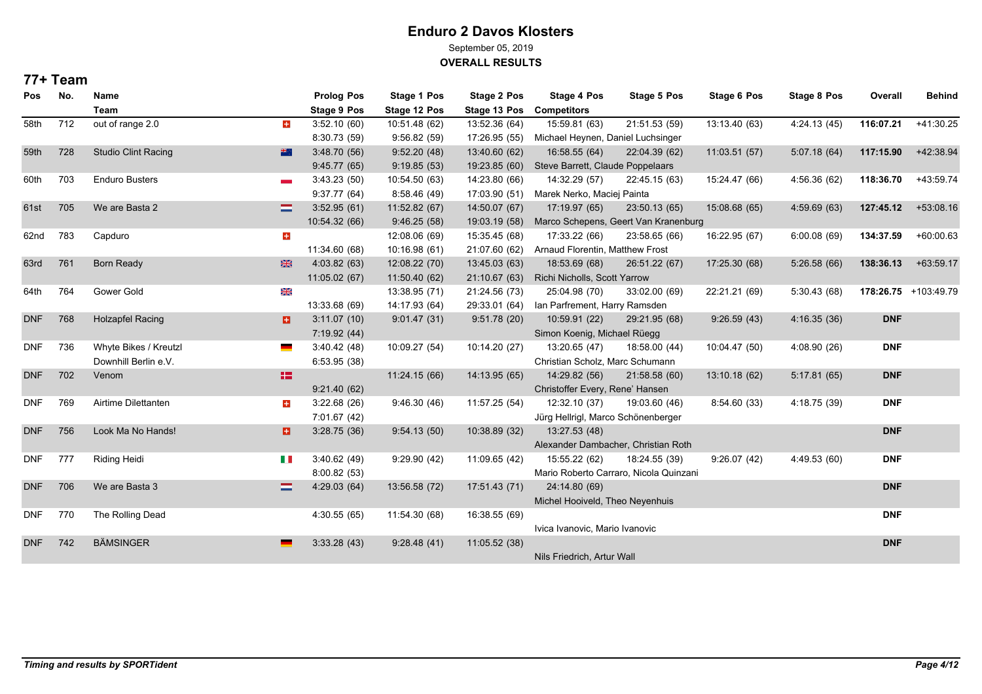September 05, 2019

**OVERALL RESULTS**

| Pos        | No. | Name                       |                 | <b>Prolog Pos</b>  | Stage 1 Pos   | <b>Stage 2 Pos</b> | Stage 4 Pos                        | Stage 5 Pos                            | <b>Stage 6 Pos</b> | <b>Stage 8 Pos</b> | Overall    | <b>Behind</b>        |
|------------|-----|----------------------------|-----------------|--------------------|---------------|--------------------|------------------------------------|----------------------------------------|--------------------|--------------------|------------|----------------------|
|            |     | Team                       |                 | <b>Stage 9 Pos</b> | Stage 12 Pos  | Stage 13 Pos       | <b>Competitors</b>                 |                                        |                    |                    |            |                      |
| 58th       | 712 | out of range 2.0           | $\pm$           | 3:52.10(60)        | 10:51.48 (62) | 13:52.36 (64)      | 15:59.81 (63)                      | 21:51.53 (59)                          | 13:13.40 (63)      | 4:24.13(45)        | 116:07.21  | $+41:30.25$          |
|            |     |                            |                 | 8:30.73 (59)       | 9:56.82(59)   | 17:26.95 (55)      | Michael Heynen, Daniel Luchsinger  |                                        |                    |                    |            |                      |
| 59th       | 728 | <b>Studio Clint Racing</b> | 带               | 3:48.70(56)        | 9.52.20(48)   | 13:40.60 (62)      | 16:58.55 (64)                      | 22:04.39 (62)                          | 11:03.51(57)       | 5.07.18(64)        | 117:15.90  | +42:38.94            |
|            |     |                            |                 | 9.45.77(65)        | 9:19.85(53)   | 19:23.85 (60)      | Steve Barrett, Claude Poppelaars   |                                        |                    |                    |            |                      |
| 60th       | 703 | <b>Enduro Busters</b>      | <b>Control</b>  | 3.43.23(50)        | 10:54.50 (63) | 14:23.80 (66)      | 14:32.29 (57)                      | 22:45.15 (63)                          | 15:24.47 (66)      | 4:56.36 (62)       | 118:36.70  | +43:59.74            |
|            |     |                            |                 | 9:37.77(64)        | 8:58.46(49)   | 17:03.90 (51)      | Marek Nerko, Maciej Painta         |                                        |                    |                    |            |                      |
| 61st       | 705 | We are Basta 2             | $=$             | 3:52.95(61)        | 11:52.82 (67) | 14:50.07 (67)      | 17:19.97 (65)                      | 23:50.13 (65)                          | 15:08.68 (65)      | 4:59.69(63)        | 127:45.12  | +53:08.16            |
|            |     |                            |                 | 10:54.32 (66)      | 9:46.25(58)   | 19:03.19 (58)      |                                    | Marco Schepens, Geert Van Kranenburg   |                    |                    |            |                      |
| 62nd       | 783 | Capduro                    | $\pm$           |                    | 12:08.06 (69) | 15:35.45 (68)      | 17:33.22 (66)                      | 23:58.65 (66)                          | 16:22.95 (67)      | 6:00.08(69)        | 134:37.59  | $+60:00.63$          |
|            |     |                            |                 | 11:34.60 (68)      | 10:16.98 (61) | 21:07.60 (62)      | Arnaud Florentin, Matthew Frost    |                                        |                    |                    |            |                      |
| 63rd       | 761 | <b>Born Ready</b>          | ₩               | 4:03.82(63)        | 12:08.22 (70) | 13:45.03 (63)      | 18:53.69 (68)                      | 26:51.22 (67)                          | 17:25.30 (68)      | 5:26.58 (66)       | 138:36.13  | $+63:59.17$          |
|            |     |                            |                 | 11:05.02 (67)      | 11:50.40 (62) | 21:10.67 (63)      | Richi Nicholls, Scott Yarrow       |                                        |                    |                    |            |                      |
| 64th       | 764 | Gower Gold                 | 米               |                    | 13:38.95 (71) | 21:24.56 (73)      | 25:04.98 (70)                      | 33:02.00 (69)                          | 22:21.21 (69)      | 5:30.43 (68)       |            | 178:26.75 +103:49.79 |
|            |     |                            |                 | 13:33.68 (69)      | 14:17.93 (64) | 29:33.01 (64)      | Ian Parfrement, Harry Ramsden      |                                        |                    |                    |            |                      |
| <b>DNF</b> | 768 | <b>Holzapfel Racing</b>    | в               | 3:11.07(10)        | 9.01.47(31)   | 9:51.78(20)        | 10:59.91 (22)                      | 29:21.95 (68)                          | 9:26.59(43)        | 4:16.35(36)        | <b>DNF</b> |                      |
|            |     |                            |                 | 7:19.92(44)        |               |                    | Simon Koenig, Michael Rüegg        |                                        |                    |                    |            |                      |
| <b>DNF</b> | 736 | Whyte Bikes / Kreutzl      | <b>Contract</b> | 3.40.42(48)        | 10:09.27 (54) | 10:14.20 (27)      | 13:20.65 (47)                      | 18:58.00 (44)                          | 10:04.47 (50)      | 4:08.90 (26)       | <b>DNF</b> |                      |
|            |     | Downhill Berlin e.V.       |                 | 6:53.95(38)        |               |                    | Christian Scholz, Marc Schumann    |                                        |                    |                    |            |                      |
| <b>DNF</b> | 702 | Venom                      | 12              |                    | 11:24.15 (66) | 14:13.95 (65)      | 14:29.82 (56)                      | 21:58.58 (60)                          | 13:10.18 (62)      | 5:17.81(65)        | <b>DNF</b> |                      |
|            |     |                            |                 | 9:21.40(62)        |               |                    | Christoffer Every, Rene' Hansen    |                                        |                    |                    |            |                      |
| <b>DNF</b> | 769 | Airtime Dilettanten        | ÷               | 3.22.68(26)        | 9.46.30(46)   | 11:57.25 (54)      | 12:32.10 (37)                      | 19:03.60 (46)                          | 8.54.60(33)        | 4:18.75 (39)       | <b>DNF</b> |                      |
|            |     |                            |                 | 7:01.67 (42)       |               |                    | Jürg Hellrigl, Marco Schönenberger |                                        |                    |                    |            |                      |
| <b>DNF</b> | 756 | Look Ma No Hands!          | a               | 3:28.75(36)        | 9:54.13(50)   | 10:38.89 (32)      | 13:27.53 (48)                      |                                        |                    |                    | <b>DNF</b> |                      |
|            |     |                            |                 |                    |               |                    |                                    | Alexander Dambacher, Christian Roth    |                    |                    |            |                      |
| <b>DNF</b> | 777 | <b>Riding Heidi</b>        | H.              | 3:40.62(49)        | 9:29.90(42)   | 11:09.65 (42)      | 15:55.22 (62)                      | 18:24.55 (39)                          | 9:26.07(42)        | 4:49.53 (60)       | <b>DNF</b> |                      |
|            |     |                            |                 | 8:00.82(53)        |               |                    |                                    | Mario Roberto Carraro, Nicola Quinzani |                    |                    |            |                      |
| <b>DNF</b> | 706 | We are Basta 3             | ≡               | 4:29.03(64)        | 13:56.58 (72) | 17:51.43 (71)      | 24:14.80 (69)                      |                                        |                    |                    | <b>DNF</b> |                      |
|            |     |                            |                 |                    |               |                    | Michel Hooiveld, Theo Neyenhuis    |                                        |                    |                    |            |                      |
| <b>DNF</b> | 770 | The Rolling Dead           |                 | 4:30.55(65)        | 11:54.30 (68) | 16:38.55 (69)      |                                    |                                        |                    |                    | <b>DNF</b> |                      |
|            |     |                            |                 |                    |               |                    | Ivica Ivanovic, Mario Ivanovic     |                                        |                    |                    |            |                      |
| <b>DNF</b> | 742 | <b>BÄMSINGER</b>           |                 | 3.33.28(43)        | 9:28.48(41)   | 11:05.52 (38)      |                                    |                                        |                    |                    | <b>DNF</b> |                      |
|            |     |                            |                 |                    |               |                    | Nils Friedrich, Artur Wall         |                                        |                    |                    |            |                      |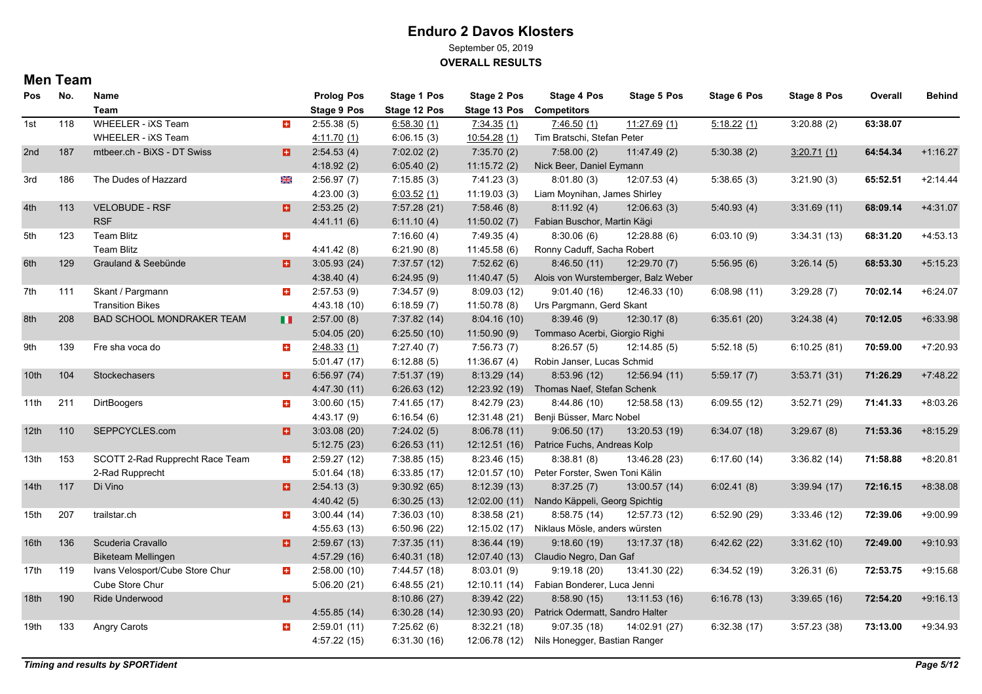September 05, 2019

**OVERALL RESULTS**

| <b>Pos</b>       | No. | Name                            |       | <b>Prolog Pos</b>  | <b>Stage 1 Pos</b> | <b>Stage 2 Pos</b> | Stage 4 Pos                                  | Stage 5 Pos   | <b>Stage 6 Pos</b> | Stage 8 Pos | Overall  | <b>Behind</b> |
|------------------|-----|---------------------------------|-------|--------------------|--------------------|--------------------|----------------------------------------------|---------------|--------------------|-------------|----------|---------------|
|                  |     | <b>Team</b>                     |       | <b>Stage 9 Pos</b> | Stage 12 Pos       | Stage 13 Pos       | <b>Competitors</b>                           |               |                    |             |          |               |
| 1st              | 118 | WHEELER - iXS Team              | $\pm$ | 2:55.38(5)         | 6:58.30(1)         | 7:34.35(1)         | 7:46.50(1)                                   | 11.27.69(1)   | 5:18.22(1)         | 3:20.88(2)  | 63:38.07 |               |
|                  |     | WHEELER - iXS Team              |       | 4:11.70(1)         | 6:06.15(3)         | 10:54.28(1)        | Tim Bratschi, Stefan Peter                   |               |                    |             |          |               |
| 2nd              | 187 | mtbeer.ch - BiXS - DT Swiss     | п     | 2:54.53(4)         | 7:02.02(2)         | 7:35.70(2)         | 7:58.00(2)                                   | 11.47.49(2)   | 5:30.38(2)         | 3:20.71(1)  | 64:54.34 | $+1:16.27$    |
|                  |     |                                 |       | 4:18.92(2)         | 6.05.40(2)         | 11:15.72(2)        | Nick Beer, Daniel Eymann                     |               |                    |             |          |               |
| 3rd              | 186 | The Dudes of Hazzard            | ⋇     | 2:56.97(7)         | 7:15.85(3)         | 7:41.23(3)         | 8:01.80(3)                                   | 12:07.53(4)   | 5:38.65(3)         | 3:21.90(3)  | 65:52.51 | $+2.14.44$    |
|                  |     |                                 |       | 4:23.00(3)         | 6:03.52(1)         | 11:19.03(3)        | Liam Moynihan, James Shirley                 |               |                    |             |          |               |
| 4th              | 113 | <b>VELOBUDE - RSF</b>           | п     | 2:53.25(2)         | 7:57.28 (21)       | 7:58.46(8)         | 8:11.92(4)                                   | 12:06.63(3)   | 5:40.93(4)         | 3:31.69(11) | 68:09.14 | $+4:31.07$    |
|                  |     | <b>RSF</b>                      |       | 4.41.11(6)         | 6:11.10(4)         | 11:50.02(7)        | Fabian Buschor, Martin Kägi                  |               |                    |             |          |               |
| 5th              | 123 | Team Blitz                      | $\pm$ |                    | 7:16.60(4)         | 7:49.35(4)         | 8:30.06(6)                                   | 12:28.88(6)   | 6:03.10(9)         | 3:34.31(13) | 68:31.20 | $+4.53.13$    |
|                  |     | <b>Team Blitz</b>               |       | 4:41.42 (8)        | 6:21.90(8)         | 11:45.58(6)        | Ronny Caduff, Sacha Robert                   |               |                    |             |          |               |
| 6th              | 129 | Grauland & Seebünde             | Ð.    | 3.05.93(24)        | 7:37.57 (12)       | 7:52.62(6)         | 8.46.50(11)                                  | 12:29.70 (7)  | 5:56.95(6)         | 3.26.14(5)  | 68:53.30 | $+5:15.23$    |
|                  |     |                                 |       | 4:38.40(4)         | 6:24.95(9)         | 11.40.47(5)        | Alois von Wurstemberger, Balz Weber          |               |                    |             |          |               |
| 7th              | 111 | Skant / Pargmann                | $\pm$ | 2:57.53(9)         | 7:34.57(9)         | 8:09.03(12)        | 9:01.40(16)                                  | 12:46.33 (10) | 6:08.98(11)        | 3:29.28(7)  | 70:02.14 | $+6.24.07$    |
|                  |     | <b>Transition Bikes</b>         |       | 4:43.18 (10)       | 6:18.59(7)         | 11:50.78(8)        | Urs Pargmann, Gerd Skant                     |               |                    |             |          |               |
| 8th              | 208 | BAD SCHOOL MONDRAKER TEAM       | ш     | 2:57.00(8)         | 7:37.82 (14)       | 8.04.16(10)        | 8:39.46(9)                                   | 12:30.17(8)   | 6:35.61(20)        | 3:24.38(4)  | 70:12.05 | $+6.33.98$    |
|                  |     |                                 |       | 5:04.05(20)        | 6:25.50(10)        | 11:50.90(9)        | Tommaso Acerbi, Giorgio Righi                |               |                    |             |          |               |
| 9th              | 139 | Fre sha voca do                 | $\pm$ | 2:48.33(1)         | 7:27.40(7)         | 7:56.73(7)         | 8:26.57(5)                                   | 12:14.85(5)   | 5:52.18(5)         | 6:10.25(81) | 70:59.00 | $+7:20.93$    |
|                  |     |                                 |       | 5:01.47(17)        | 6:12.88(5)         | 11:36.67(4)        | Robin Janser, Lucas Schmid                   |               |                    |             |          |               |
| 10th             | 104 | Stockechasers                   | o.    | 6:56.97(74)        | 7:51.37 (19)       | 8:13.29(14)        | 8:53.96 (12)                                 | 12:56.94 (11) | 5:59.17(7)         | 3:53.71(31) | 71:26.29 | $+7:48.22$    |
|                  |     |                                 |       | 4:47.30 (11)       | 6:26.63(12)        |                    | 12:23.92 (19) Thomas Naef, Stefan Schenk     |               |                    |             |          |               |
| 11th             | 211 | <b>DirtBoogers</b>              | $\pm$ | 3:00.60(15)        | 7:41.65(17)        | 8:42.79 (23)       | 8.44.86(10)                                  | 12:58.58 (13) | 6:09.55(12)        | 3:52.71(29) | 71:41.33 | $+8:03.26$    |
|                  |     |                                 |       | 4:43.17 (9)        | 6:16.54(6)         | 12:31.48 (21)      | Benji Büsser, Marc Nobel                     |               |                    |             |          |               |
| 12th             | 110 | SEPPCYCLES.com                  | o     | 3:03.08(20)        | 7:24.02(5)         | 8.06.78(11)        | 9:06.50(17)                                  | 13:20.53 (19) | 6:34.07(18)        | 3:29.67(8)  | 71:53.36 | $+8:15.29$    |
|                  |     |                                 |       | 5:12.75(23)        | 6:26.53(11)        | 12:12.51(16)       | Patrice Fuchs, Andreas Kolp                  |               |                    |             |          |               |
| 13th             | 153 | SCOTT 2-Rad Rupprecht Race Team | $\pm$ | 2:59.27(12)        | 7:38.85 (15)       | 8:23.46(15)        | 8:38.81(8)                                   | 13:46.28 (23) | 6:17.60(14)        | 3:36.82(14) | 71:58.88 | $+8.20.81$    |
|                  |     | 2-Rad Rupprecht                 |       | 5:01.64(18)        | 6:33.85(17)        |                    | 12:01.57 (10) Peter Forster, Swen Toni Kälin |               |                    |             |          |               |
| 14 <sup>th</sup> | 117 | Di Vino                         | o     | 2:54.13(3)         | 9:30.92(65)        | 8:12.39(13)        | 8:37.25(7)                                   | 13:00.57 (14) | 6.02.41(8)         | 3:39.94(17) | 72:16.15 | $+8:38.08$    |
|                  |     |                                 |       | 4:40.42(5)         | 6.30.25(13)        |                    | 12:02.00 (11) Nando Käppeli, Georg Spichtig  |               |                    |             |          |               |
| 15th             | 207 | trailstar.ch                    | $\pm$ | 3.00.44(14)        | 7:36.03(10)        | 8:38.58(21)        | 8:58.75(14)                                  | 12:57.73 (12) | 6:52.90(29)        | 3:33.46(12) | 72:39.06 | $+9:00.99$    |
|                  |     |                                 |       | 4:55.63(13)        | 6:50.96(22)        |                    | 12:15.02 (17) Niklaus Mösle, anders würsten  |               |                    |             |          |               |
| 16th             | 136 | Scuderia Cravallo               | п     | 2:59.67(13)        | 7:37.35(11)        | 8:36.44(19)        | 9:18.60(19)                                  | 13:17.37 (18) | 6:42.62(22)        | 3:31.62(10) | 72:49.00 | $+9:10.93$    |
|                  |     | <b>Biketeam Mellingen</b>       |       | 4:57.29 (16)       | 6:40.31(18)        | 12:07.40 (13)      | Claudio Negro, Dan Gaf                       |               |                    |             |          |               |
| 17th             | 119 | Ivans Velosport/Cube Store Chur | $\pm$ | 2:58.00(10)        | 7:44.57 (18)       | 8.03.01(9)         | 9:19.18(20)                                  | 13:41.30 (22) | 6:34.52(19)        | 3:26.31(6)  | 72:53.75 | $+9.15.68$    |
|                  |     | Cube Store Chur                 |       | 5:06.20(21)        | 6.48.55(21)        |                    | 12:10.11 (14) Fabian Bonderer, Luca Jenni    |               |                    |             |          |               |
| 18th             | 190 | Ride Underwood                  | ø.    |                    | 8:10.86(27)        | 8:39.42(22)        | 8:58.90(15)                                  | 13:11.53 (16) | 6:16.78(13)        | 3:39.65(16) | 72:54.20 | $+9:16.13$    |
|                  |     |                                 |       | 4:55.85(14)        | 6:30.28(14)        | 12:30.93 (20)      | Patrick Odermatt, Sandro Halter              |               |                    |             |          |               |
| 19th             | 133 | Angry Carots                    | $\pm$ | 2:59.01(11)        | 7:25.62(6)         | 8:32.21(18)        | 9:07.35(18)                                  | 14:02.91 (27) | 6:32.38(17)        | 3:57.23(38) | 73:13.00 | $+9.34.93$    |
|                  |     |                                 |       | 4:57.22 (15)       | 6:31.30(16)        |                    | 12:06.78 (12) Nils Honegger, Bastian Ranger  |               |                    |             |          |               |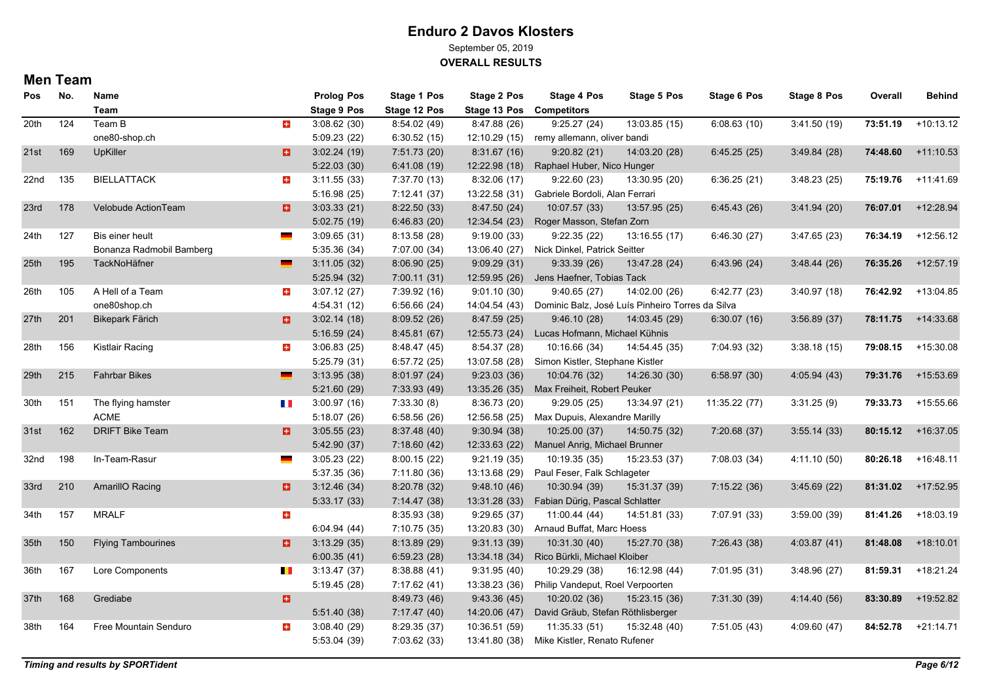September 05, 2019

**OVERALL RESULTS**

| Pos              | No. | Name                      |                          | <b>Prolog Pos</b>  | Stage 1 Pos  | <b>Stage 2 Pos</b> | Stage 4 Pos                                      | <b>Stage 5 Pos</b> | <b>Stage 6 Pos</b> | Stage 8 Pos  | Overall  | <b>Behind</b> |
|------------------|-----|---------------------------|--------------------------|--------------------|--------------|--------------------|--------------------------------------------------|--------------------|--------------------|--------------|----------|---------------|
|                  |     | Team                      |                          | <b>Stage 9 Pos</b> | Stage 12 Pos | Stage 13 Pos       | <b>Competitors</b>                               |                    |                    |              |          |               |
| 20th             | 124 | Team B                    | $\pm$                    | 3:08.62(30)        | 8:54.02 (49) | 8:47.88 (26)       | 9:25.27(24)                                      | 13:03.85 (15)      | 6:08.63(10)        | 3:41.50 (19) | 73:51.19 | $+10:13.12$   |
|                  |     | one80-shop.ch             |                          | 5:09.23(22)        | 6:30.52(15)  | 12:10.29(15)       | remy allemann, oliver bandi                      |                    |                    |              |          |               |
| 21st             | 169 | UpKiller                  | o                        | 3.02.24(19)        | 7:51.73 (20) | 8:31.67(16)        | 9:20.82(21)                                      | 14:03.20 (28)      | 6:45.25(25)        | 3.49.84(28)  | 74:48.60 | $+11:10.53$   |
|                  |     |                           |                          | 5:22.03(30)        | 6.41.08(19)  | 12:22.98 (18)      | Raphael Huber, Nico Hunger                       |                    |                    |              |          |               |
| 22nd             | 135 | <b>BIELLATTACK</b>        | $\pm$                    | 3:11.55(33)        | 7:37.70 (13) | 8:32.06 (17)       | 9:22.60(23)                                      | 13:30.95 (20)      | 6:36.25(21)        | 3.48.23(25)  | 75:19.76 | $+11.41.69$   |
|                  |     |                           |                          | 5:16.98(25)        | 7:12.41 (37) | 13:22.58 (31)      | Gabriele Bordoli, Alan Ferrari                   |                    |                    |              |          |               |
| 23rd             | 178 | Velobude ActionTeam       | H                        | 3:03.33(21)        | 8.22.50(33)  | 8:47.50(24)        | 10:07.57 (33)                                    | 13:57.95 (25)      | 6.45.43(26)        | 3.41.94(20)  | 76:07.01 | $+12:28.94$   |
|                  |     |                           |                          | 5:02.75(19)        | 6.46.83(20)  | 12:34.54 (23)      | Roger Masson, Stefan Zorn                        |                    |                    |              |          |               |
| 24th             | 127 | Bis einer heult           |                          | 3:09.65(31)        | 8:13.58(28)  | 9:19.00(33)        | 9:22.35(22)                                      | 13:16.55 (17)      | 6:46.30(27)        | 3.47.65(23)  | 76:34.19 | $+12:56.12$   |
|                  |     | Bonanza Radmobil Bamberg  |                          | 5:35.36(34)        | 7:07.00 (34) |                    | 13:06.40 (27) Nick Dinkel, Patrick Seitter       |                    |                    |              |          |               |
| 25 <sub>th</sub> | 195 | TackNoHäfner              |                          | 3.11.05(32)        | 8:06.90(25)  | 9:09.29(31)        | 9:33.39(26)                                      | 13:47.28 (24)      | 6:43.96(24)        | 3.48.44(26)  | 76:35.26 | $+12:57.19$   |
|                  |     |                           |                          | 5:25.94(32)        | 7:00.11(31)  | 12:59.95 (26)      | Jens Haefner, Tobias Tack                        |                    |                    |              |          |               |
| 26th             | 105 | A Hell of a Team          | $+$                      | 3:07.12(27)        | 7:39.92 (16) | 9:01.10(30)        | 9:40.65(27)                                      | 14:02.00 (26)      | 6:42.77(23)        | 3:40.97(18)  | 76:42.92 | $+13:04.85$   |
|                  |     | one80shop.ch              |                          | 4:54.31(12)        | 6:56.66(24)  | 14:04.54 (43)      | Dominic Balz, José Luís Pinheiro Torres da Silva |                    |                    |              |          |               |
| 27th             | 201 | <b>Bikepark Färich</b>    | Ð.                       | 3:02.14(18)        | 8:09.52(26)  | 8:47.59(25)        | 9:46.10(28)                                      | 14:03.45 (29)      | 6:30.07(16)        | 3:56.89(37)  | 78:11.75 | +14:33.68     |
|                  |     |                           |                          | 5:16.59(24)        | 8.45.81(67)  | 12:55.73 (24)      | Lucas Hofmann, Michael Kühnis                    |                    |                    |              |          |               |
| 28th             | 156 | Kistlair Racing           | $\pm$                    | 3:06.83(25)        | 8:48.47 (45) | 8:54.37(28)        | 10:16.66 (34)                                    | 14:54.45 (35)      | 7:04.93 (32)       | 3:38.18(15)  | 79:08.15 | +15:30.08     |
|                  |     |                           |                          | 5:25.79(31)        | 6.57.72(25)  | 13:07.58 (28)      | Simon Kistler, Stephane Kistler                  |                    |                    |              |          |               |
| 29th             | 215 | <b>Fahrbar Bikes</b>      |                          | 3:13.95(38)        | 8.01.97(24)  | 9:23.03(36)        | 10:04.76 (32)                                    | 14:26.30 (30)      | 6:58.97(30)        | 4.05.94(43)  | 79:31.76 | +15:53.69     |
|                  |     |                           |                          | 5:21.60(29)        | 7:33.93 (49) | 13:35.26 (35)      | Max Freiheit, Robert Peuker                      |                    |                    |              |          |               |
| 30th             | 151 | The flying hamster        | H.                       | 3:00.97(16)        | 7:33.30(8)   | 8:36.73 (20)       | 9:29.05(25)                                      | 13:34.97 (21)      | 11:35.22 (77)      | 3:31.25(9)   | 79:33.73 | +15:55.66     |
|                  |     | <b>ACME</b>               |                          | 5:18.07(26)        | 6.58.56(26)  | 12:56.58 (25)      | Max Dupuis, Alexandre Marilly                    |                    |                    |              |          |               |
| 31st             | 162 | <b>DRIFT Bike Team</b>    | B                        | 3.05.55(23)        | 8.37.48(40)  | 9:30.94(38)        | 10:25.00 (37)                                    | 14:50.75 (32)      | 7:20.68(37)        | 3.55.14(33)  | 80:15.12 | +16:37.05     |
|                  |     |                           |                          | 5.42.90(37)        | 7:18.60(42)  | 12:33.63 (22)      | Manuel Anrig, Michael Brunner                    |                    |                    |              |          |               |
| 32nd             | 198 | In-Team-Rasur             |                          | 3.05.23(22)        | 8:00.15(22)  | 9:21.19(35)        | 10:19.35 (35)                                    | 15:23.53 (37)      | 7:08.03 (34)       | 4:11.10 (50) | 80:26.18 | $+16:48.11$   |
|                  |     |                           |                          | 5:37.35 (36)       | 7:11.80 (36) | 13:13.68 (29)      | Paul Feser, Falk Schlageter                      |                    |                    |              |          |               |
| 33rd             | 210 | <b>AmarillO Racing</b>    | o                        | 3:12.46(34)        | 8:20.78 (32) | 9:48.10(46)        | 10:30.94 (39)                                    | 15:31.37 (39)      | 7:15.22(36)        | 3.45.69(22)  | 81:31.02 | $+17:52.95$   |
|                  |     |                           |                          | 5:33.17(33)        | 7:14.47 (38) | 13:31.28 (33)      | Fabian Dürig, Pascal Schlatter                   |                    |                    |              |          |               |
| 34th             | 157 | <b>MRALF</b>              | $\pm$                    |                    | 8:35.93 (38) | 9:29.65(37)        | 11:00.44 (44)                                    | 14:51.81 (33)      | 7:07.91 (33)       | 3:59.00 (39) | 81:41.26 | $+18:03.19$   |
|                  |     |                           |                          | 6.04.94(44)        | 7:10.75 (35) | 13:20.83 (30)      | Arnaud Buffat, Marc Hoess                        |                    |                    |              |          |               |
| 35th             | 150 | <b>Flying Tambourines</b> | o.                       | 3:13.29(35)        | 8:13.89 (29) | 9:31.13(39)        | 10:31.30 (40)                                    | 15:27.70 (38)      | 7:26.43 (38)       | 4:03.87(41)  | 81:48.08 | $+18:10.01$   |
|                  |     |                           |                          | 6:00.35(41)        | 6.59.23(28)  | 13:34.18 (34)      | Rico Bürkli, Michael Kloiber                     |                    |                    |              |          |               |
| 36th             | 167 | Lore Components           | <b>The Second Second</b> | 3:13.47(37)        | 8.38.88(41)  | 9.31.95(40)        | 10:29.29 (38)                                    | 16:12.98 (44)      | 7:01.95 (31)       | 3.48.96(27)  | 81:59.31 | $+18:21.24$   |
|                  |     |                           |                          | 5:19.45(28)        | 7:17.62(41)  | 13:38.23 (36)      | Philip Vandeput, Roel Verpoorten                 |                    |                    |              |          |               |
| 37th             | 168 | Grediabe                  | o                        |                    | 8:49.73 (46) | 9.43.36(45)        | 10:20.02 (36)                                    | 15:23.15 (36)      | 7:31.30 (39)       | 4:14.40 (56) | 83:30.89 | +19:52.82     |
|                  |     |                           |                          | 5:51.40(38)        | 7:17.47 (40) | 14:20.06 (47)      | David Gräub, Stefan Röthlisberger                |                    |                    |              |          |               |
| 38th             | 164 | Free Mountain Senduro     | $\pm$                    | 3.08.40(29)        | 8:29.35(37)  | 10:36.51 (59)      | 11:35.33 (51)                                    | 15:32.48 (40)      | 7:51.05 (43)       | 4.09.60(47)  | 84:52.78 | $+21:14.71$   |
|                  |     |                           |                          | 5:53.04(39)        | 7:03.62 (33) | 13:41.80 (38)      | Mike Kistler, Renato Rufener                     |                    |                    |              |          |               |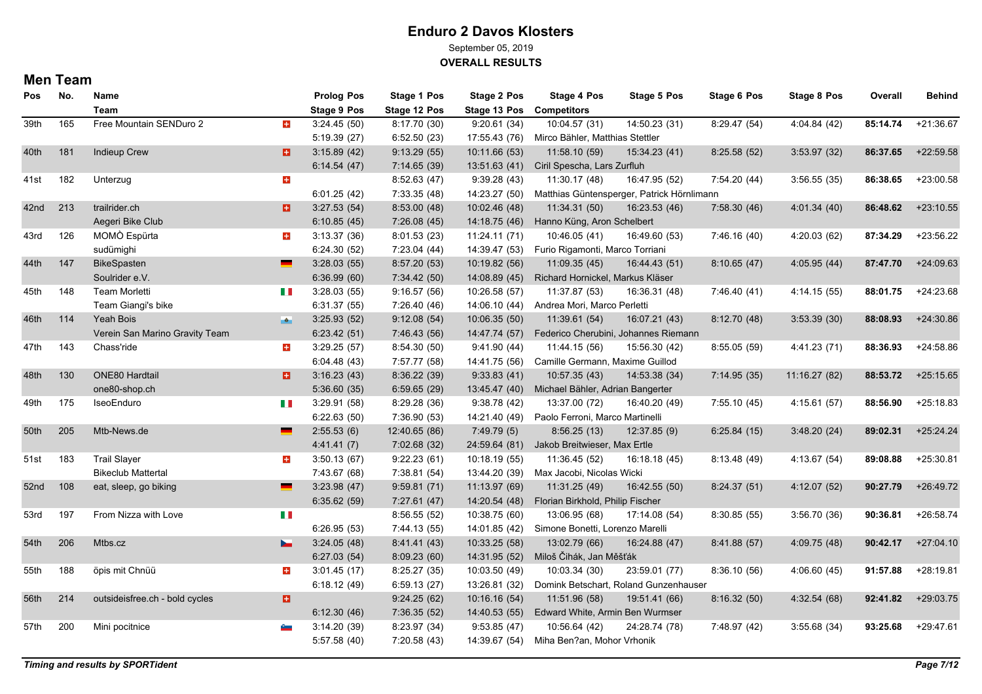September 05, 2019

**OVERALL RESULTS**

| <b>Pos</b> | No. | Name                           |                          | <b>Prolog Pos</b>  | Stage 1 Pos   | Stage 2 Pos   | <b>Stage 4 Pos</b>               | Stage 5 Pos                                | Stage 6 Pos  | <b>Stage 8 Pos</b> | Overall  | <b>Behind</b> |
|------------|-----|--------------------------------|--------------------------|--------------------|---------------|---------------|----------------------------------|--------------------------------------------|--------------|--------------------|----------|---------------|
|            |     | <b>Team</b>                    |                          | <b>Stage 9 Pos</b> | Stage 12 Pos  | Stage 13 Pos  | <b>Competitors</b>               |                                            |              |                    |          |               |
| 39th       | 165 | Free Mountain SENDuro 2        | $\pm$                    | 3:24.45(50)        | 8:17.70 (30)  | 9:20.61(34)   | 10:04.57 (31)                    | 14:50.23 (31)                              | 8:29.47 (54) | 4:04.84 (42)       | 85:14.74 | $+21:36.67$   |
|            |     |                                |                          | 5:19.39(27)        | 6:52.50(23)   | 17:55.43 (76) | Mirco Bähler, Matthias Stettler  |                                            |              |                    |          |               |
| 40th       | 181 | <b>Indieup Crew</b>            | a                        | 3:15.89(42)        | 9:13.29(55)   | 10:11.66 (53) | 11:58.10 (59)                    | 15:34.23 (41)                              | 8:25.58(52)  | 3:53.97 (32)       | 86:37.65 | $+22:59.58$   |
|            |     |                                |                          | 6:14.54(47)        | 7:14.65 (39)  | 13:51.63 (41) | Ciril Spescha, Lars Zurfluh      |                                            |              |                    |          |               |
| 41st       | 182 | Unterzug                       | 玉                        |                    | 8:52.63(47)   | 9:39.28(43)   | 11:30.17 (48)                    | 16:47.95 (52)                              | 7:54.20 (44) | 3:56.55(35)        | 86:38.65 | $+23:00.58$   |
|            |     |                                |                          | 6:01.25(42)        | 7:33.35 (48)  | 14:23.27 (50) |                                  | Matthias Güntensperger, Patrick Hörnlimann |              |                    |          |               |
| 42nd       | 213 | trailrider.ch                  | H                        | 3:27.53(54)        | 8:53.00(48)   | 10:02.46 (48) | 11:34.31 (50)                    | 16:23.53 (46)                              | 7:58.30(46)  | 4:01.34 (40)       | 86:48.62 | $+23:10.55$   |
|            |     | Aegeri Bike Club               |                          | 6:10.85(45)        | 7:26.08(45)   | 14:18.75 (46) | Hanno Küng, Aron Schelbert       |                                            |              |                    |          |               |
| 43rd       | 126 | MOMÒ Espürta                   | $\pm$                    | 3:13.37(36)        | 8:01.53 (23)  | 11:24.11 (71) | 10:46.05 (41)                    | 16:49.60 (53)                              | 7:46.16 (40) | 4:20.03 (62)       | 87:34.29 | $+23:56.22$   |
|            |     | sudümighi                      |                          | 6:24.30(52)        | 7:23.04 (44)  | 14:39.47 (53) | Furio Rigamonti, Marco Torriani  |                                            |              |                    |          |               |
| 44th       | 147 | BikeSpasten                    |                          | 3:28.03(55)        | 8.57.20(53)   | 10:19.82 (56) | 11:09.35 (45)                    | 16:44.43 (51)                              | 8:10.65(47)  | 4.05.95(44)        | 87:47.70 | $+24:09.63$   |
|            |     | Soulrider e.V.                 |                          | 6:36.99(60)        | 7:34.42 (50)  | 14:08.89 (45) | Richard Hornickel, Markus Kläser |                                            |              |                    |          |               |
| 45th       | 148 | Team Morletti                  | H II                     | 3:28.03(55)        | 9:16.57(56)   | 10:26.58 (57) | 11:37.87 (53)                    | 16:36.31 (48)                              | 7:46.40 (41) | 4:14.15 (55)       | 88:01.75 | +24:23.68     |
|            |     | Team Giangi's bike             |                          | 6:31.37(55)        | 7:26.40 (46)  | 14:06.10 (44) | Andrea Mori, Marco Perletti      |                                            |              |                    |          |               |
| 46th       | 114 | Yeah Bois                      | $-6$                     | 3:25.93(52)        | 9:12.08(54)   | 10:06.35 (50) | 11:39.61 (54)                    | 16:07.21 (43)                              | 8:12.70(48)  | 3:53.39 (30)       | 88:08.93 | $+24:30.86$   |
|            |     | Verein San Marino Gravity Team |                          | 6:23.42(51)        | 7:46.43 (56)  | 14:47.74 (57) |                                  | Federico Cherubini, Johannes Riemann       |              |                    |          |               |
| 47th       | 143 | Chass'ride                     | $+$                      | 3:29.25(57)        | 8.54.30 (50)  | 9:41.90(44)   | 11:44.15 (56)                    | 15:56.30 (42)                              | 8:55.05(59)  | 4:41.23 (71)       | 88:36.93 | $+24:58.86$   |
|            |     |                                |                          | 6:04.48(43)        | 7:57.77 (58)  | 14:41.75 (56) | Camille Germann, Maxime Guillod  |                                            |              |                    |          |               |
| 48th       | 130 | ONE80 Hardtail                 | в                        | 3:16.23(43)        | 8:36.22 (39)  | 9:33.83(41)   | 10:57.35 (43)                    | 14:53.38 (34)                              | 7:14.95(35)  | 11:16.27 (82)      | 88:53.72 | $+25:15.65$   |
|            |     | one80-shop.ch                  |                          | 5:36.60(35)        | 6.59.65(29)   | 13:45.47 (40) | Michael Bähler, Adrian Bangerter |                                            |              |                    |          |               |
| 49th       | 175 | IseoEnduro                     | H I                      | 3:29.91(58)        | 8:29.28 (36)  | 9:38.78(42)   | 13:37.00 (72)                    | 16:40.20 (49)                              | 7:55.10 (45) | 4:15.61 (57)       | 88:56.90 | $+25:18.83$   |
|            |     |                                |                          | 6:22.63(50)        | 7:36.90 (53)  | 14:21.40 (49) | Paolo Ferroni, Marco Martinelli  |                                            |              |                    |          |               |
| 50th       | 205 | Mtb-News.de                    |                          | 2:55.53(6)         | 12:40.65 (86) | 7:49.79(5)    | 8:56.25(13)                      | 12:37.85 (9)                               | 6:25.84(15)  | 3:48.20(24)        | 89:02.31 | $+25:24.24$   |
|            |     |                                |                          | 4.41.41(7)         | 7:02.68 (32)  | 24:59.64 (81) | Jakob Breitwieser, Max Ertle     |                                            |              |                    |          |               |
| 51st       | 183 | <b>Trail Slayer</b>            | $\pm$                    | 3:50.13(67)        | 9:22.23(61)   | 10:18.19 (55) | 11:36.45 (52)                    | 16:18.18 (45)                              | 8:13.48 (49) | 4:13.67 (54)       | 89:08.88 | $+25:30.81$   |
|            |     | <b>Bikeclub Mattertal</b>      |                          | 7:43.67 (68)       | 7:38.81 (54)  | 13:44.20 (39) | Max Jacobi, Nicolas Wicki        |                                            |              |                    |          |               |
| 52nd       | 108 | eat, sleep, go biking          | $\overline{\phantom{a}}$ | 3:23.98(47)        | 9:59.81(71)   | 11:13.97 (69) | 11:31.25 (49)                    | 16:42.55 (50)                              | 8:24.37(51)  | 4:12.07(52)        | 90:27.79 | $+26:49.72$   |
|            |     |                                |                          | 6:35.62(59)        | 7:27.61 (47)  | 14:20.54 (48) | Florian Birkhold, Philip Fischer |                                            |              |                    |          |               |
| 53rd       | 197 | From Nizza with Love           | H.                       |                    | 8:56.55(52)   | 10:38.75 (60) | 13:06.95 (68)                    | 17:14.08 (54)                              | 8:30.85(55)  | 3:56.70 (36)       | 90:36.81 | $+26:58.74$   |
|            |     |                                |                          | 6:26.95(53)        | 7:44.13 (55)  | 14:01.85 (42) | Simone Bonetti, Lorenzo Marelli  |                                            |              |                    |          |               |
| 54th       | 206 | Mtbs.cz                        |                          | 3.24.05(48)        | 8:41.41 (43)  | 10:33.25 (58) | 13:02.79 (66)                    | 16:24.88 (47)                              | 8:41.88 (57) | 4:09.75 (48)       | 90:42.17 | $+27:04.10$   |
|            |     |                                |                          | 6:27.03(54)        | 8:09.23(60)   | 14:31.95 (52) | Miloš Čihák, Jan Měšťák          |                                            |              |                    |          |               |
| 55th       | 188 | öpis mit Chnüü                 | $+$                      | 3.01.45(17)        | 8:25.27(35)   | 10:03.50 (49) | 10:03.34 (30)                    | 23:59.01 (77)                              | 8:36.10(56)  | 4.06.60(45)        | 91:57.88 | $+28:19.81$   |
|            |     |                                |                          | 6:18.12(49)        | 6:59.13(27)   | 13:26.81 (32) |                                  | Domink Betschart, Roland Gunzenhauser      |              |                    |          |               |
| 56th       | 214 | outsideisfree.ch - bold cycles | G.                       |                    | 9:24.25(62)   | 10:16.16(54)  | 11:51.96 (58)                    | 19:51.41 (66)                              | 8:16.32(50)  | 4:32.54 (68)       | 92:41.82 | $+29:03.75$   |
|            |     |                                |                          | 6:12.30(46)        | 7:36.35(52)   | 14:40.53 (55) | Edward White, Armin Ben Wurmser  |                                            |              |                    |          |               |
| 57th       | 200 | Mini pocitnice                 | o and                    | 3.14.20(39)        | 8:23.97 (34)  | 9:53.85(47)   | 10:56.64 (42)                    | 24:28.74 (78)                              | 7:48.97 (42) | 3:55.68 (34)       | 93:25.68 | $+29:47.61$   |
|            |     |                                |                          | 5:57.58 (40)       | 7:20.58 (43)  | 14:39.67 (54) | Miha Ben?an, Mohor Vrhonik       |                                            |              |                    |          |               |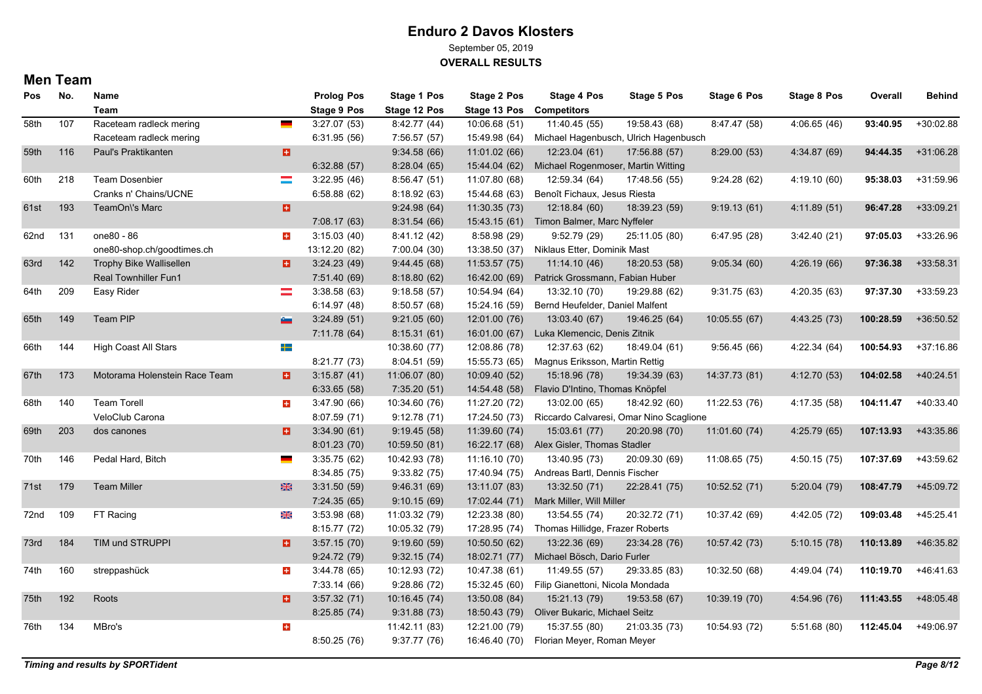September 05, 2019

**OVERALL RESULTS**

| <b>Pos</b> | No. | Name                          |                | <b>Prolog Pos</b>  | <b>Stage 1 Pos</b> | <b>Stage 2 Pos</b> | Stage 4 Pos                             | <b>Stage 5 Pos</b> | <b>Stage 6 Pos</b> | Stage 8 Pos  | Overall   | <b>Behind</b> |
|------------|-----|-------------------------------|----------------|--------------------|--------------------|--------------------|-----------------------------------------|--------------------|--------------------|--------------|-----------|---------------|
|            |     | Team                          |                | <b>Stage 9 Pos</b> | Stage 12 Pos       | Stage 13 Pos       | <b>Competitors</b>                      |                    |                    |              |           |               |
| 58th       | 107 | Raceteam radleck mering       | $\blacksquare$ | 3:27.07(53)        | 8.42.77(44)        | 10:06.68 (51)      | 11:40.45 (55)                           | 19:58.43 (68)      | 8.47.47(58)        | 4:06.65(46)  | 93:40.95  | $+30:02.88$   |
|            |     | Raceteam radleck mering       |                | 6:31.95(56)        | 7:56.57 (57)       | 15:49.98 (64)      | Michael Hagenbusch, Ulrich Hagenbusch   |                    |                    |              |           |               |
| 59th       | 116 | Paul's Praktikanten           | a              |                    | 9:34.58(66)        | 11:01.02 (66)      | 12:23.04 (61)                           | 17:56.88 (57)      | 8:29.00(53)        | 4:34.87 (69) | 94:44.35  | +31:06.28     |
|            |     |                               |                | 6:32.88(57)        | 8.28.04(65)        | 15:44.04 (62)      | Michael Rogenmoser, Martin Witting      |                    |                    |              |           |               |
| 60th       | 218 | <b>Team Dosenbier</b>         | $\equiv$       | 3:22.95(46)        | 8:56.47(51)        | 11:07.80 (68)      | 12:59.34 (64)                           | 17:48.56 (55)      | 9:24.28(62)        | 4:19.10 (60) | 95:38.03  | $+31:59.96$   |
|            |     | Cranks n' Chains/UCNE         |                | 6:58.88(62)        | 8:18.92(63)        | 15:44.68 (63)      | Benoît Fichaux, Jesus Riesta            |                    |                    |              |           |               |
| 61st       | 193 | TeamOn\'s Marc                | E.             |                    | 9.24.98(64)        | 11:30.35 (73)      | 12:18.84 (60)                           | 18:39.23 (59)      | 9:19.13(61)        | 4:11.89(51)  | 96:47.28  | $+33:09.21$   |
|            |     |                               |                | 7:08.17(63)        | 8:31.54(66)        | 15:43.15 (61)      | Timon Balmer, Marc Nyffeler             |                    |                    |              |           |               |
| 62nd       | 131 | one80 - 86                    | ÷              | 3:15.03(40)        | 8:41.12 (42)       | 8:58.98 (29)       | 9:52.79 (29)                            | 25:11.05 (80)      | 6:47.95(28)        | 3.42.40(21)  | 97:05.03  | +33:26.96     |
|            |     | one80-shop.ch/goodtimes.ch    |                | 13:12.20 (82)      | 7:00.04 (30)       | 13:38.50 (37)      | Niklaus Etter, Dominik Mast             |                    |                    |              |           |               |
| 63rd       | 142 | Trophy Bike Wallisellen       | Ð.             | 3:24.23(49)        | 9.44.45(68)        | 11:53.57 (75)      | 11:14.10 (46)                           | 18:20.53 (58)      | 9:05.34(60)        | 4:26.19(66)  | 97:36.38  | $+33:58.31$   |
|            |     | <b>Real Townhiller Fun1</b>   |                | 7:51.40 (69)       | 8:18.80(62)        | 16:42.00 (69)      | Patrick Grossmann, Fabian Huber         |                    |                    |              |           |               |
| 64th       | 209 | Easy Rider                    | $=$            | 3:38.58(63)        | 9:18.58(57)        | 10:54.94 (64)      | 13:32.10 (70)                           | 19:29.88 (62)      | 9:31.75(63)        | 4:20.35 (63) | 97:37.30  | +33:59.23     |
|            |     |                               |                | 6:14.97(48)        | 8:50.57(68)        | 15:24.16 (59)      | Bernd Heufelder, Daniel Malfent         |                    |                    |              |           |               |
| 65th       | 149 | Team PIP                      | e.             | 3:24.89(51)        | 9:21.05(60)        | 12:01.00 (76)      | 13:03.40 (67)                           | 19:46.25 (64)      | 10:05.55 (67)      | 4:43.25 (73) | 100:28.59 | +36:50.52     |
|            |     |                               |                | 7:11.78(64)        | 8:15.31(61)        | 16:01.00 (67)      | Luka Klemencic, Denis Zitnik            |                    |                    |              |           |               |
| 66th       | 144 | High Coast All Stars          | $\pm$          |                    | 10:38.60 (77)      | 12:08.86 (78)      | 12:37.63 (62)                           | 18:49.04 (61)      | 9:56.45(66)        | 4:22.34 (64) | 100:54.93 | $+37:16.86$   |
|            |     |                               |                | 8:21.77(73)        | 8:04.51(59)        | 15:55.73 (65)      | Magnus Eriksson, Martin Rettig          |                    |                    |              |           |               |
| 67th       | 173 | Motorama Holenstein Race Team | B.             | 3:15.87(41)        | 11:06.07 (80)      | 10:09.40 (52)      | 15:18.96 (78)                           | 19:34.39 (63)      | 14:37.73 (81)      | 4:12.70 (53) | 104:02.58 | $+40.24.51$   |
|            |     |                               |                | 6:33.65(58)        | 7:35.20(51)        | 14:54.48 (58)      | Flavio D'Intino, Thomas Knöpfel         |                    |                    |              |           |               |
| 68th       | 140 | <b>Team Torell</b>            | $\pm$          | 3:47.90(66)        | 10:34.60 (76)      | 11:27.20 (72)      | 13:02.00 (65)                           | 18:42.92 (60)      | 11:22.53 (76)      | 4:17.35 (58) | 104:11.47 | $+40.33.40$   |
|            |     | VeloClub Carona               |                | 8:07.59 (71)       | 9:12.78(71)        | 17:24.50 (73)      | Riccardo Calvaresi, Omar Nino Scaglione |                    |                    |              |           |               |
| 69th       | 203 | dos canones                   | o              | 3:34.90(61)        | 9:19.45(58)        | 11:39.60 (74)      | 15:03.61 (77)                           | 20:20.98 (70)      | 11:01.60(74)       | 4:25.79 (65) | 107:13.93 | +43:35.86     |
|            |     |                               |                | 8:01.23(70)        | 10:59.50 (81)      | 16:22.17 (68)      | Alex Gisler, Thomas Stadler             |                    |                    |              |           |               |
| 70th       | 146 | Pedal Hard, Bitch             |                | 3:35.75(62)        | 10:42.93 (78)      | 11:16.10 (70)      | 13:40.95 (73)                           | 20:09.30 (69)      | 11:08.65 (75)      | 4:50.15(75)  | 107:37.69 | +43:59.62     |
|            |     |                               |                | 8:34.85(75)        | 9:33.82(75)        | 17:40.94 (75)      | Andreas Bartl, Dennis Fischer           |                    |                    |              |           |               |
| 71st       | 179 | <b>Team Miller</b>            | 米              | 3:31.50(59)        | 9:46.31(69)        | 13:11.07 (83)      | 13:32.50 (71)                           | 22:28.41 (75)      | 10:52.52 (71)      | 5:20.04(79)  | 108:47.79 | +45:09.72     |
|            |     |                               |                | 7:24.35(65)        | 9:10.15(69)        | 17:02.44 (71)      | Mark Miller, Will Miller                |                    |                    |              |           |               |
| 72nd       | 109 | FT Racing                     | ⋇              | 3.53.98(68)        | 11:03.32 (79)      | 12:23.38 (80)      | 13:54.55 (74)                           | 20:32.72 (71)      | 10:37.42 (69)      | 4:42.05 (72) | 109:03.48 | $+45:25.41$   |
|            |     |                               |                | 8:15.77(72)        | 10:05.32 (79)      | 17:28.95 (74)      | Thomas Hillidge, Frazer Roberts         |                    |                    |              |           |               |
| 73rd       | 184 | TIM und STRUPPI               | в.             | 3:57.15(70)        | 9:19.60(59)        | 10:50.50 (62)      | 13:22.36 (69)                           | 23:34.28 (76)      | 10:57.42 (73)      | 5:10.15(78)  | 110:13.89 | +46:35.82     |
|            |     |                               |                | 9:24.72(79)        | 9:32.15(74)        | 18:02.71 (77)      | Michael Bösch, Dario Furler             |                    |                    |              |           |               |
| 74th       | 160 | streppashück                  | ÷              | 3.44.78(65)        | 10:12.93 (72)      | 10:47.38 (61)      | 11:49.55 (57)                           | 29:33.85 (83)      | 10:32.50 (68)      | 4:49.04 (74) | 110:19.70 | $+46.41.63$   |
|            |     |                               |                | 7:33.14 (66)       | 9:28.86 (72)       | 15:32.45 (60)      | Filip Gianettoni, Nicola Mondada        |                    |                    |              |           |               |
| 75th       | 192 | Roots                         | o              | 3:57.32(71)        | 10:16.45(74)       | 13:50.08 (84)      | 15:21.13 (79)                           | 19:53.58 (67)      | 10:39.19 (70)      | 4:54.96 (76) | 111:43.55 | +48:05.48     |
|            |     |                               |                | 8:25.85(74)        | 9:31.88(73)        | 18:50.43 (79)      | Oliver Bukaric, Michael Seitz           |                    |                    |              |           |               |
| 76th       | 134 | MBro's                        | $\pm$          |                    | 11:42.11 (83)      | 12:21.00 (79)      | 15:37.55 (80)                           | 21:03.35 (73)      | 10:54.93 (72)      | 5:51.68 (80) | 112:45.04 | +49:06.97     |
|            |     |                               |                | 8:50.25(76)        | 9:37.77(76)        | 16:46.40 (70)      | Florian Meyer, Roman Meyer              |                    |                    |              |           |               |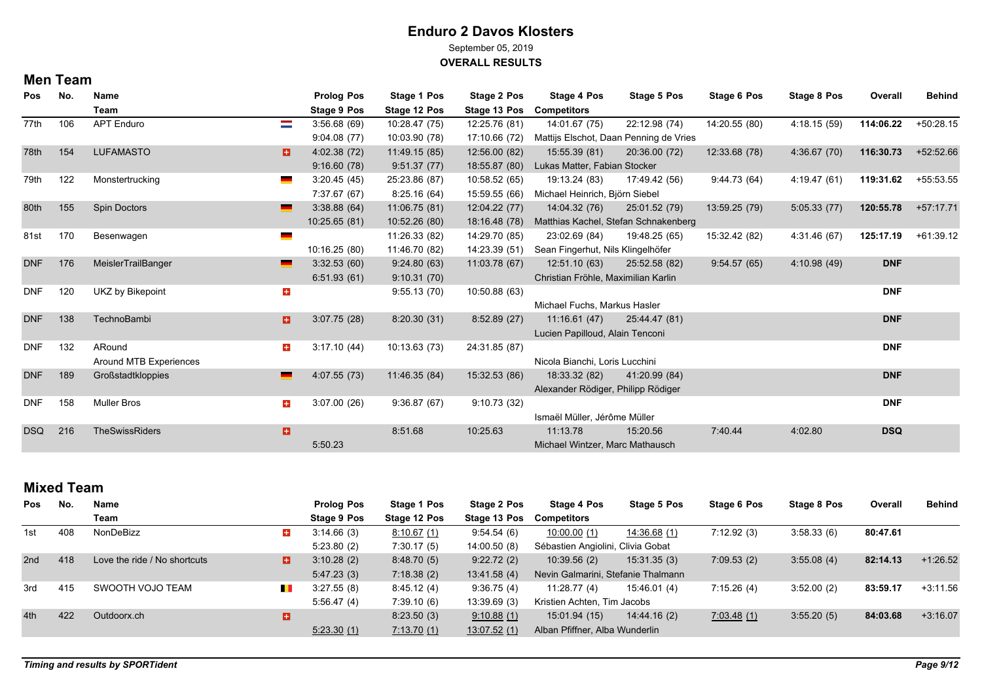September 05, 2019

**OVERALL RESULTS**

#### **Men Team**

| Pos        | No. | Name                   |       | <b>Prolog Pos</b> | Stage 1 Pos   | Stage 2 Pos   | <b>Stage 4 Pos</b>                  | Stage 5 Pos                            | Stage 6 Pos   | Stage 8 Pos  | Overall    | <b>Behind</b> |
|------------|-----|------------------------|-------|-------------------|---------------|---------------|-------------------------------------|----------------------------------------|---------------|--------------|------------|---------------|
|            |     | Team                   |       | Stage 9 Pos       | Stage 12 Pos  | Stage 13 Pos  | <b>Competitors</b>                  |                                        |               |              |            |               |
| 77th       | 106 | <b>APT Enduro</b>      | ═     | 3.56.68(69)       | 10:28.47 (75) | 12:25.76 (81) | 14:01.67 (75)                       | 22:12.98 (74)                          | 14:20.55 (80) | 4:18.15(59)  | 114:06.22  | +50:28.15     |
|            |     |                        |       | 9.04.08(77)       | 10:03.90 (78) | 17:10.66 (72) |                                     | Mattijs Elschot, Daan Penning de Vries |               |              |            |               |
| 78th       | 154 | <b>LUFAMASTO</b>       | H     | 4:02.38 (72)      | 11:49.15 (85) | 12:56.00 (82) | 15:55.39 (81)                       | 20:36.00 (72)                          | 12:33.68 (78) | 4:36.67(70)  | 116:30.73  | +52:52.66     |
|            |     |                        |       | 9:16.60(78)       | 9:51.37(77)   | 18:55.87 (80) | Lukas Matter, Fabian Stocker        |                                        |               |              |            |               |
| 79th       | 122 | Monstertrucking        |       | 3:20.45(45)       | 25:23.86 (87) | 10:58.52 (65) | 19:13.24 (83)                       | 17:49.42 (56)                          | 9.44.73(64)   | 4:19.47 (61) | 119:31.62  | +55:53.55     |
|            |     |                        |       | 7:37.67 (67)      | 8:25.16(64)   | 15:59.55 (66) | Michael Heinrich, Björn Siebel      |                                        |               |              |            |               |
| 80th       | 155 | <b>Spin Doctors</b>    |       | 3.38.88(64)       | 11:06.75 (81) | 12:04.22 (77) | 14:04.32 (76)                       | 25:01.52 (79)                          | 13:59.25 (79) | 5:05.33(77)  | 120:55.78  | $+57:17.71$   |
|            |     |                        |       | 10:25.65(81)      | 10.52.26 (80) | 18:16.48 (78) |                                     | Matthias Kachel, Stefan Schnakenberg   |               |              |            |               |
| 81st       | 170 | Besenwagen             |       |                   | 11:26.33 (82) | 14:29.70 (85) | 23:02.69 (84)                       | 19:48.25 (65)                          | 15:32.42 (82) | 4:31.46 (67) | 125:17.19  | $+61:39.12$   |
|            |     |                        |       | 10:16.25 (80)     | 11:46.70 (82) | 14:23.39 (51) | Sean Fingerhut, Nils Klingelhöfer   |                                        |               |              |            |               |
| <b>DNF</b> | 176 | MeislerTrailBanger     |       | 3:32.53(60)       | 9:24.80(63)   | 11:03.78 (67) | 12:51.10 (63)                       | 25:52.58 (82)                          | 9.54.57(65)   | 4:10.98 (49) | <b>DNF</b> |               |
|            |     |                        |       | 6.51.93(61)       | 9:10.31(70)   |               | Christian Fröhle, Maximilian Karlin |                                        |               |              |            |               |
| <b>DNF</b> | 120 | UKZ by Bikepoint       | $\pm$ |                   | 9:55.13(70)   | 10:50.88(63)  |                                     |                                        |               |              | <b>DNF</b> |               |
|            |     |                        |       |                   |               |               | Michael Fuchs, Markus Hasler        |                                        |               |              |            |               |
| <b>DNF</b> | 138 | TechnoBambi            | 81    | 3:07.75(28)       | 8:20.30(31)   | 8:52.89(27)   | 11:16.61 (47)                       | 25:44.47 (81)                          |               |              | <b>DNF</b> |               |
|            |     |                        |       |                   |               |               | Lucien Papilloud, Alain Tenconi     |                                        |               |              |            |               |
| DNF        | 132 | ARound                 | $+$   | 3:17.10(44)       | 10:13.63 (73) | 24:31.85 (87) |                                     |                                        |               |              | <b>DNF</b> |               |
|            |     | Around MTB Experiences |       |                   |               |               | Nicola Bianchi, Loris Lucchini      |                                        |               |              |            |               |
| <b>DNF</b> | 189 | Großstadtkloppies      |       | 4:07.55(73)       | 11:46.35 (84) | 15:32.53 (86) | 18:33.32 (82)                       | 41:20.99 (84)                          |               |              | <b>DNF</b> |               |
|            |     |                        |       |                   |               |               | Alexander Rödiger, Philipp Rödiger  |                                        |               |              |            |               |
| <b>DNF</b> | 158 | <b>Muller Bros</b>     | $+$   | 3:07.00(26)       | 9:36.87(67)   | 9:10.73(32)   |                                     |                                        |               |              | <b>DNF</b> |               |
|            |     |                        |       |                   |               |               | Ismaël Müller, Jérôme Müller        |                                        |               |              |            |               |
| <b>DSQ</b> | 216 | <b>TheSwissRiders</b>  | в     |                   | 8:51.68       | 10:25.63      | 11:13.78                            | 15:20.56                               | 7.40.44       | 4:02.80      | <b>DSQ</b> |               |
|            |     |                        |       | 5:50.23           |               |               | Michael Wintzer, Marc Mathausch     |                                        |               |              |            |               |

### **Mixed Team**

| Pos | No. | Name                         |                          | <b>Prolog Pos</b> | Stage 1 Pos        | Stage 2 Pos  | Stage 4 Pos                        | Stage 5 Pos  | Stage 6 Pos | Stage 8 Pos | Overall  | <b>Behind</b> |
|-----|-----|------------------------------|--------------------------|-------------------|--------------------|--------------|------------------------------------|--------------|-------------|-------------|----------|---------------|
|     |     | Team                         |                          | Stage 9 Pos       | Stage 12 Pos       | Stage 13 Pos | Competitors                        |              |             |             |          |               |
| 1st | 408 | NonDeBizz                    | $\pm$                    | 3.14.66(3)        | 8.10.67(1)         | 9.54.54(6)   | 10:00.00(1)                        | 14:36.68 (1) | 7:12.92(3)  | 3:58.33(6)  | 80:47.61 |               |
|     |     |                              |                          | 5.23.80(2)        | 7:30.17(5)         | 14:00.50(8)  | Sébastien Angiolini, Clivia Gobat  |              |             |             |          |               |
| 2nd | 418 | Love the ride / No shortcuts | 8.                       | 3.10.28(2)        | 8:48.70(5)         | 9:22.72(2)   | 10:39.56(2)                        | 15:31.35(3)  | 7:09.53(2)  | 3:55.08(4)  | 82:14.13 | $+1:26.52$    |
|     |     |                              |                          | 5.47.23(3)        | 7:18.38(2)         | 13.41.58(4)  | Nevin Galmarini, Stefanie Thalmann |              |             |             |          |               |
| 3rd | 415 | SWOOTH VOJO TEAM             | <b>The Second Second</b> | 3.27.55(8)        | 8.45.12(4)         | 9.36.75(4)   | 11:28.77(4)                        | 15:46.01 (4) | 7:15.26(4)  | 3:52.00(2)  | 83:59.17 | $+3:11.56$    |
|     |     |                              |                          | 5:56.47(4)        | 7:39.10(6)         | 13.39.69(3)  | Kristien Achten, Tim Jacobs        |              |             |             |          |               |
| 4th | 422 | Outdoorx.ch                  | ы                        |                   | 8:23.50(3)         | 9:10.88(1)   | 15:01.94(15)                       | 14.44.16(2)  | 7:03.48(1)  | 3:55.20(5)  | 84:03.68 | $+3.16.07$    |
|     |     |                              |                          | 5.23.30(1)        | <u>7:13.70 (1)</u> | 13.07.52(1)  | Alban Pfiffner, Alba Wunderlin     |              |             |             |          |               |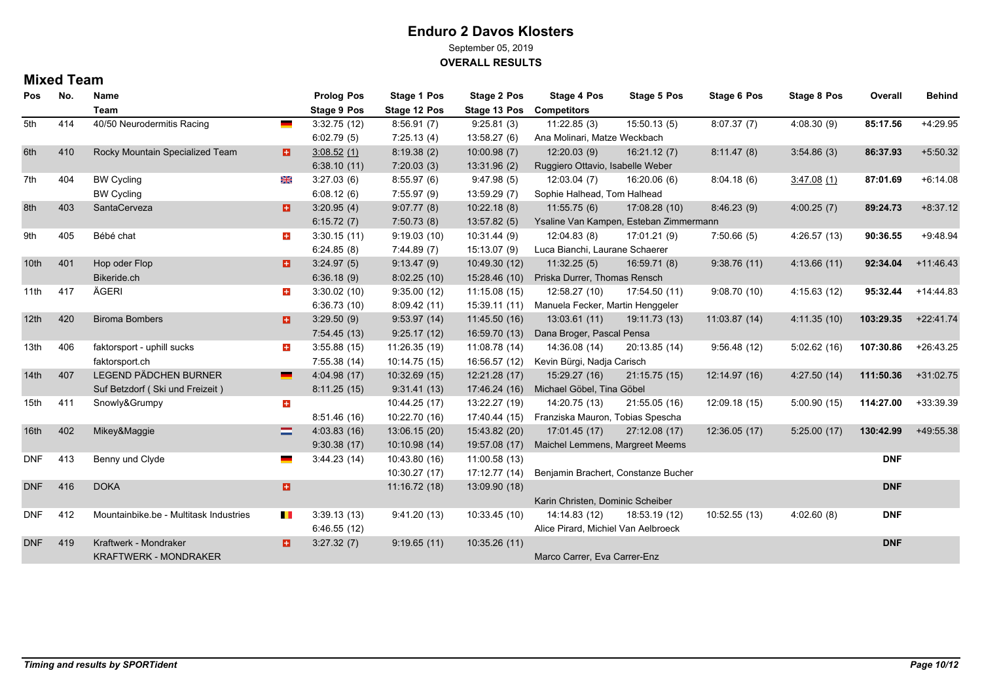September 05, 2019

**OVERALL RESULTS**

### **Mixed Team**

| Pos              | No. | Name                                   |              | <b>Prolog Pos</b>  | Stage 1 Pos   | <b>Stage 2 Pos</b> | Stage 4 Pos                            | Stage 5 Pos   | <b>Stage 6 Pos</b> | <b>Stage 8 Pos</b> | Overall    | <b>Behind</b> |
|------------------|-----|----------------------------------------|--------------|--------------------|---------------|--------------------|----------------------------------------|---------------|--------------------|--------------------|------------|---------------|
|                  |     | Team                                   |              | <b>Stage 9 Pos</b> | Stage 12 Pos  | Stage 13 Pos       | <b>Competitors</b>                     |               |                    |                    |            |               |
| 5th              | 414 | 40/50 Neurodermitis Racing             | <u>e a</u>   | 3:32.75(12)        | 8:56.91(7)    | 9:25.81(3)         | 11:22.85(3)                            | 15:50.13(5)   | 8:07.37(7)         | 4.08.30(9)         | 85:17.56   | $+4:29.95$    |
|                  |     |                                        |              | 6:02.79(5)         | 7:25.13(4)    | 13:58.27 (6)       | Ana Molinari, Matze Weckbach           |               |                    |                    |            |               |
| 6th              | 410 | Rocky Mountain Specialized Team        | a            | 3.08.52(1)         | 8:19.38(2)    | 10:00.98(7)        | 12:20.03(9)                            | 16:21.12(7)   | 8:11.47(8)         | 3:54.86(3)         | 86:37.93   | $+5:50.32$    |
|                  |     |                                        |              | 6:38.10(11)        | 7:20.03(3)    | 13:31.96 (2)       | Ruggiero Ottavio, Isabelle Weber       |               |                    |                    |            |               |
| 7th              | 404 | <b>BW Cycling</b>                      | ⋇            | 3.27.03(6)         | 8:55.97(6)    | 9.47.98(5)         | 12:03.04(7)                            | 16:20.06(6)   | 8.04.18(6)         | 3.47.08(1)         | 87:01.69   | $+6.14.08$    |
|                  |     | <b>BW Cycling</b>                      |              | 6:08.12(6)         | 7:55.97(9)    | 13:59.29 (7)       | Sophie Halhead, Tom Halhead            |               |                    |                    |            |               |
| 8th              | 403 | SantaCerveza                           | a            | 3:20.95(4)         | 9:07.77(8)    | 10:22.18(8)        | 11:55.75(6)                            | 17:08.28 (10) | 8:46.23(9)         | 4:00.25(7)         | 89:24.73   | $+8.37.12$    |
|                  |     |                                        |              | 6:15.72(7)         | 7:50.73(8)    | 13:57.82(5)        | Ysaline Van Kampen, Esteban Zimmermann |               |                    |                    |            |               |
| 9th              | 405 | Bébé chat                              | $\pm$        | 3:30.15(11)        | 9:19.03(10)   | 10:31.44 (9)       | 12:04.83 (8)                           | 17:01.21 (9)  | 7:50.66(5)         | 4:26.57 (13)       | 90:36.55   | $+9.48.94$    |
|                  |     |                                        |              | 6:24.85(8)         | 7:44.89(7)    | 15:13.07 (9)       | Luca Bianchi, Laurane Schaerer         |               |                    |                    |            |               |
| 10 <sub>th</sub> | 401 | Hop oder Flop                          | Ð.           | 3:24.97(5)         | 9:13.47(9)    | 10:49.30 (12)      | 11:32.25(5)                            | 16:59.71 (8)  | 9.38.76(11)        | 4:13.66(11)        | 92:34.04   | $+11.46.43$   |
|                  |     | Bikeride.ch                            |              | 6:36.18(9)         | 8:02.25(10)   | 15:28.46 (10)      | Priska Durrer, Thomas Rensch           |               |                    |                    |            |               |
| 11th             | 417 | ÄGERI                                  | $+$          | 3:30.02(10)        | 9:35.00(12)   | 11:15.08 (15)      | 12:58.27 (10)                          | 17:54.50 (11) | 9:08.70(10)        | 4:15.63(12)        | 95:32.44   | $+14.44.83$   |
|                  |     |                                        |              | 6:36.73(10)        | 8:09.42(11)   | 15:39.11 (11)      | Manuela Fecker, Martin Henggeler       |               |                    |                    |            |               |
| 12 <sup>th</sup> | 420 | <b>Biroma Bombers</b>                  | a            | 3:29.50(9)         | 9:53.97(14)   | 11:45.50 (16)      | 13:03.61 (11)                          | 19:11.73 (13) | 11:03.87(14)       | 4:11.35(10)        | 103:29.35  | $+22:41.74$   |
|                  |     |                                        |              | 7:54.45(13)        | 9:25.17(12)   | 16:59.70 (13)      | Dana Broger, Pascal Pensa              |               |                    |                    |            |               |
| 13th             | 406 | faktorsport - uphill sucks             | $\pm$        | 3:55.88(15)        | 11:26.35 (19) | 11:08.78 (14)      | 14:36.08 (14)                          | 20:13.85 (14) | 9:56.48(12)        | 5:02.62(16)        | 107:30.86  | $+26:43.25$   |
|                  |     | faktorsport.ch                         |              | 7:55.38(14)        | 10:14.75 (15) | 16:56.57 (12)      | Kevin Bürgi, Nadja Carisch             |               |                    |                    |            |               |
| 14 <sup>th</sup> | 407 | <b>LEGEND PÄDCHEN BURNER</b>           |              | 4:04.98(17)        | 10:32.69 (15) | 12:21.28 (17)      | 15:29.27 (16)                          | 21:15.75 (15) | 12:14.97 (16)      | 4:27.50(14)        | 111:50.36  | $+31:02.75$   |
|                  |     | Suf Betzdorf (Ski und Freizeit)        |              | 8:11.25(15)        | 9:31.41(13)   | 17:46.24 (16)      | Michael Göbel, Tina Göbel              |               |                    |                    |            |               |
| 15th             | 411 | Snowly&Grumpy                          | $\pm$        |                    | 10:44.25 (17) | 13:22.27 (19)      | 14:20.75 (13)                          | 21:55.05 (16) | 12:09.18 (15)      | 5:00.90(15)        | 114:27.00  | +33:39.39     |
|                  |     |                                        |              | 8:51.46(16)        | 10:22.70 (16) | 17:40.44 (15)      | Franziska Mauron, Tobias Spescha       |               |                    |                    |            |               |
| 16th             | 402 | Mikey&Maggie                           | =            | 4:03.83(16)        | 13:06.15 (20) | 15:43.82 (20)      | 17:01.45 (17)                          | 27:12.08 (17) | 12:36.05 (17)      | 5:25.00(17)        | 130:42.99  | +49:55.38     |
|                  |     |                                        |              | 9:30.38(17)        | 10:10.98 (14) | 19:57.08 (17)      | Maichel Lemmens, Margreet Meems        |               |                    |                    |            |               |
| <b>DNF</b>       | 413 | Benny und Clyde                        |              | 3:44.23(14)        | 10:43.80 (16) | 11:00.58 (13)      |                                        |               |                    |                    | <b>DNF</b> |               |
|                  |     |                                        |              |                    | 10:30.27 (17) | 17:12.77 (14)      | Benjamin Brachert, Constanze Bucher    |               |                    |                    |            |               |
| <b>DNF</b>       | 416 | <b>DOKA</b>                            | a            |                    | 11:16.72 (18) | 13:09.90 (18)      |                                        |               |                    |                    | <b>DNF</b> |               |
|                  |     |                                        |              |                    |               |                    | Karin Christen, Dominic Scheiber       |               |                    |                    |            |               |
| <b>DNF</b>       | 412 | Mountainbike.be - Multitask Industries | $\mathbf{L}$ | 3:39.13(13)        | 9:41.20(13)   | 10:33.45 (10)      | 14:14.83 (12)                          | 18:53.19 (12) | 10:52.55 (13)      | 4:02.60(8)         | <b>DNF</b> |               |
|                  |     |                                        |              | 6.46.55(12)        |               |                    | Alice Pirard, Michiel Van Aelbroeck    |               |                    |                    |            |               |
| <b>DNF</b>       | 419 | Kraftwerk - Mondraker                  | o            | 3:27.32(7)         | 9:19.65(11)   | 10:35.26 (11)      |                                        |               |                    |                    | <b>DNF</b> |               |
|                  |     | <b>KRAFTWERK - MONDRAKER</b>           |              |                    |               |                    | Marco Carrer, Eva Carrer-Enz           |               |                    |                    |            |               |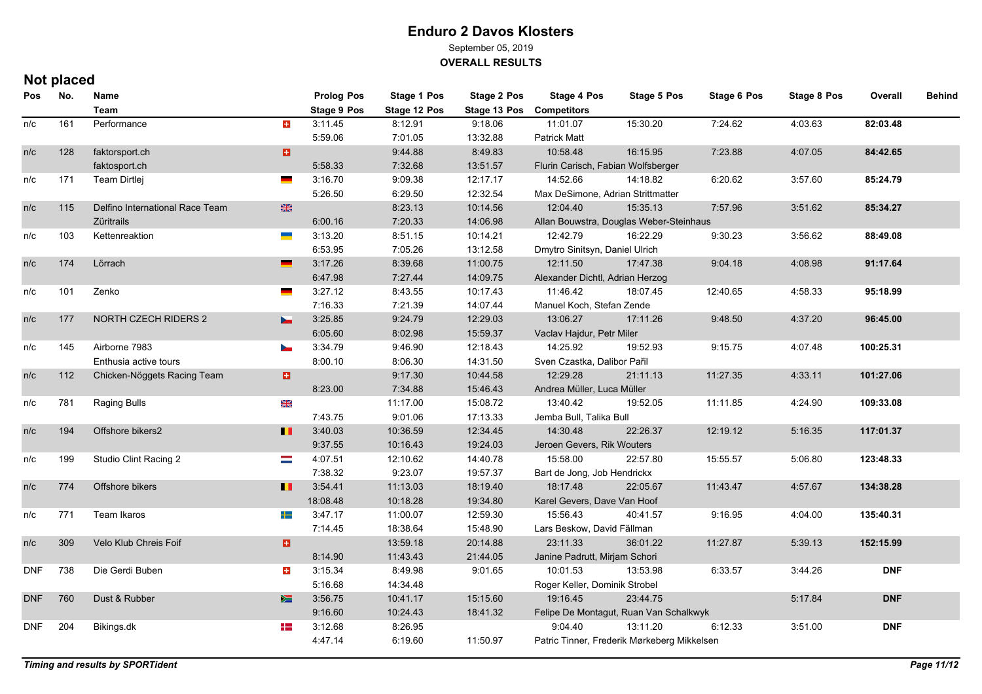September 05, 2019

**OVERALL RESULTS**

## **Not placed**

| Pos        | No. | Name                            |                | <b>Prolog Pos</b>  | Stage 1 Pos  | <b>Stage 2 Pos</b> | Stage 4 Pos                             | Stage 5 Pos                                 | <b>Stage 6 Pos</b> | <b>Stage 8 Pos</b> | Overall    | <b>Behind</b> |
|------------|-----|---------------------------------|----------------|--------------------|--------------|--------------------|-----------------------------------------|---------------------------------------------|--------------------|--------------------|------------|---------------|
|            |     | <b>Team</b>                     |                | <b>Stage 9 Pos</b> | Stage 12 Pos | Stage 13 Pos       | <b>Competitors</b>                      |                                             |                    |                    |            |               |
| n/c        | 161 | Performance                     | $\pm$          | 3:11.45            | 8:12.91      | 9:18.06            | 11:01.07                                | 15:30.20                                    | 7:24.62            | 4:03.63            | 82:03.48   |               |
|            |     |                                 |                | 5:59.06            | 7:01.05      | 13:32.88           | <b>Patrick Matt</b>                     |                                             |                    |                    |            |               |
| n/c        | 128 | faktorsport.ch                  | a              |                    | 9:44.88      | 8:49.83            | 10:58.48                                | 16:15.95                                    | 7:23.88            | 4:07.05            | 84:42.65   |               |
|            |     | faktosport.ch                   |                | 5:58.33            | 7:32.68      | 13:51.57           | Flurin Carisch, Fabian Wolfsberger      |                                             |                    |                    |            |               |
| n/c        | 171 | Team Dirtlej                    | and a          | 3:16.70            | 9:09.38      | 12:17.17           | 14:52.66                                | 14:18.82                                    | 6:20.62            | 3:57.60            | 85:24.79   |               |
|            |     |                                 |                | 5:26.50            | 6:29.50      | 12:32.54           | Max DeSimone, Adrian Strittmatter       |                                             |                    |                    |            |               |
| n/c        | 115 | Delfino International Race Team | 米              |                    | 8:23.13      | 10:14.56           | 12:04:40                                | 15:35.13                                    | 7:57.96            | 3:51.62            | 85:34.27   |               |
|            |     | <b>Züritrails</b>               |                | 6:00.16            | 7:20.33      | 14:06.98           | Allan Bouwstra, Douglas Weber-Steinhaus |                                             |                    |                    |            |               |
| n/c        | 103 | Kettenreaktion                  |                | 3:13.20            | 8:51.15      | 10:14.21           | 12:42.79                                | 16:22.29                                    | 9:30.23            | 3.56.62            | 88:49.08   |               |
|            |     |                                 |                | 6:53.95            | 7:05.26      | 13:12.58           | Dmytro Sinitsyn, Daniel Ulrich          |                                             |                    |                    |            |               |
| n/c        | 174 | Lörrach                         |                | 3:17.26            | 8:39.68      | 11:00.75           | 12:11.50                                | 17:47.38                                    | 9:04.18            | 4:08.98            | 91:17.64   |               |
|            |     |                                 |                | 6:47.98            | 7:27.44      | 14:09.75           | Alexander Dichtl, Adrian Herzog         |                                             |                    |                    |            |               |
| n/c        | 101 | Zenko                           | $\sim$         | 3:27.12            | 8:43.55      | 10:17.43           | 11:46.42                                | 18:07.45                                    | 12:40.65           | 4:58.33            | 95:18.99   |               |
|            |     |                                 |                | 7:16.33            | 7:21.39      | 14:07.44           | Manuel Koch, Stefan Zende               |                                             |                    |                    |            |               |
| n/c        | 177 | <b>NORTH CZECH RIDERS 2</b>     | $\blacksquare$ | 3:25.85            | 9:24.79      | 12:29.03           | 13:06.27                                | 17:11.26                                    | 9:48.50            | 4:37.20            | 96:45.00   |               |
|            |     |                                 |                | 6:05.60            | 8:02.98      | 15:59.37           | Vaclav Hajdur, Petr Miler               |                                             |                    |                    |            |               |
| n/c        | 145 | Airborne 7983                   | $\mathbf{r}$   | 3:34.79            | 9:46.90      | 12:18.43           | 14:25.92                                | 19:52.93                                    | 9:15.75            | 4:07.48            | 100:25.31  |               |
|            |     | Enthusia active tours           |                | 8:00.10            | 8:06.30      | 14:31.50           | Sven Czastka, Dalibor Pařil             |                                             |                    |                    |            |               |
| n/c        | 112 | Chicken-Nöggets Racing Team     | o              |                    | 9:17.30      | 10:44.58           | 12:29.28                                | 21:11.13                                    | 11:27.35           | 4:33.11            | 101:27.06  |               |
|            |     |                                 |                | 8:23.00            | 7:34.88      | 15:46.43           | Andrea Müller, Luca Müller              |                                             |                    |                    |            |               |
| n/c        | 781 | <b>Raging Bulls</b>             | Ж              |                    | 11:17.00     | 15:08.72           | 13:40.42                                | 19:52.05                                    | 11:11.85           | 4:24.90            | 109:33.08  |               |
|            |     |                                 |                | 7:43.75            | 9:01.06      | 17:13.33           | Jemba Bull, Talika Bull                 |                                             |                    |                    |            |               |
| n/c        | 194 | Offshore bikers2                | Ш              | 3:40.03            | 10:36.59     | 12:34.45           | 14:30.48                                | 22:26.37                                    | 12:19.12           | 5:16.35            | 117:01.37  |               |
|            |     |                                 |                | 9:37.55            | 10:16:43     | 19:24.03           | Jeroen Gevers, Rik Wouters              |                                             |                    |                    |            |               |
| n/c        | 199 | Studio Clint Racing 2           | $\equiv$       | 4:07.51            | 12:10.62     | 14:40.78           | 15:58.00                                | 22:57.80                                    | 15:55.57           | 5:06.80            | 123:48.33  |               |
|            |     |                                 |                | 7:38.32            | 9:23.07      | 19:57.37           | Bart de Jong, Job Hendrickx             |                                             |                    |                    |            |               |
| n/c        | 774 | Offshore bikers                 | Ш              | 3:54.41            | 11:13.03     | 18:19.40           | 18:17.48                                | 22:05.67                                    | 11:43.47           | 4:57.67            | 134:38.28  |               |
|            |     |                                 |                | 18:08.48           | 10:18.28     | 19:34.80           | Karel Gevers, Dave Van Hoof             |                                             |                    |                    |            |               |
| n/c        | 771 | Team Ikaros                     | ╋              | 3:47.17            | 11:00.07     | 12:59.30           | 15:56.43                                | 40:41.57                                    | 9:16.95            | 4.04.00            | 135:40.31  |               |
|            |     |                                 |                | 7:14.45            | 18:38.64     | 15:48.90           | Lars Beskow, David Fällman              |                                             |                    |                    |            |               |
| n/c        | 309 | Velo Klub Chreis Foif           | a              |                    | 13:59.18     | 20:14.88           | 23:11.33                                | 36:01.22                                    | 11:27.87           | 5:39.13            | 152:15.99  |               |
|            |     |                                 |                | 8:14.90            | 11:43.43     | 21:44.05           | Janine Padrutt, Mirjam Schori           |                                             |                    |                    |            |               |
| <b>DNF</b> | 738 | Die Gerdi Buben                 | $\pm$          | 3:15.34            | 8:49.98      | 9:01.65            | 10:01.53                                | 13:53.98                                    | 6:33.57            | 3.44.26            | <b>DNF</b> |               |
|            |     |                                 |                | 5:16.68            | 14:34.48     |                    | Roger Keller, Dominik Strobel           |                                             |                    |                    |            |               |
| <b>DNF</b> | 760 | Dust & Rubber                   | ≽≡             | 3:56.75            | 10:41.17     | 15:15.60           | 19:16:45                                | 23:44.75                                    |                    | 5:17.84            | <b>DNF</b> |               |
|            |     |                                 |                | 9:16.60            | 10:24.43     | 18:41.32           | Felipe De Montagut, Ruan Van Schalkwyk  |                                             |                    |                    |            |               |
| <b>DNF</b> | 204 | Bikings.dk                      | æ              | 3:12.68            | 8:26.95      |                    | 9.04.40                                 | 13:11.20                                    | 6:12.33            | 3:51.00            | <b>DNF</b> |               |
|            |     |                                 |                | 4:47.14            | 6:19.60      | 11:50.97           |                                         | Patric Tinner, Frederik Mørkeberg Mikkelsen |                    |                    |            |               |